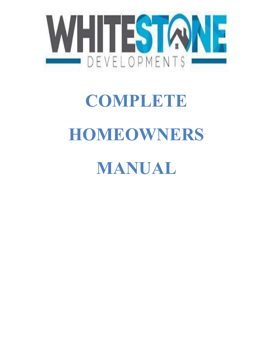

# **COMPLETE HOMEOWNERS**

# **MANUAL**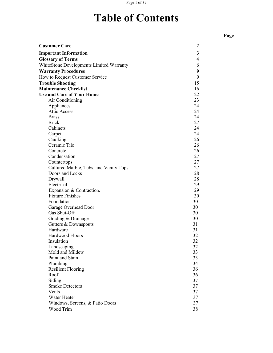## Page 1 of 39

# **Table of Contents**

| <b>Customer Care</b>                     | $\overline{2}$   |  |
|------------------------------------------|------------------|--|
| <b>Important Information</b>             | 3                |  |
| <b>Glossary of Terms</b>                 | $\overline{4}$   |  |
| WhiteStone Developments Limited Warranty | 6                |  |
| <b>Warranty Procedures</b>               | $\boldsymbol{9}$ |  |
| How to Request Customer Service          | 9                |  |
| <b>Trouble Shooting</b>                  | 15               |  |
| <b>Maintenance Checklist</b>             | 16               |  |
| <b>Use and Care of Your Home</b>         | 22               |  |
| Air Conditioning                         | 23               |  |
| Appliances                               | 24               |  |
| <b>Attic Access</b>                      | 24               |  |
| <b>Brass</b>                             | 24               |  |
| <b>Brick</b>                             | 27               |  |
| Cabinets                                 | 24               |  |
| Carpet                                   | 24               |  |
| Caulking                                 | 26               |  |
| Ceramic Tile                             | 26               |  |
| Concrete                                 | 26               |  |
| Condensation                             | 27               |  |
| Countertops                              | 27               |  |
| Cultured Marble, Tubs, and Vanity Tops   | 27               |  |
| Doors and Locks                          | 28               |  |
| Drywall                                  | 28               |  |
| Electrical                               | 29               |  |
| Expansion & Contraction.                 | 29               |  |
| <b>Fixture Finishes</b>                  | 30               |  |
| Foundation                               | 30               |  |
| Garage Overhead Door                     | 30               |  |
| Gas Shut-Off                             | 30               |  |
| Grading & Drainage                       | 30               |  |
| Gutters & Downspouts                     | 31               |  |
| Hardware                                 | 31               |  |
| Hardwood Floors                          | 32               |  |
| Insulation                               | 32               |  |
| Landscaping                              | 32               |  |
| Mold and Mildew                          | 33               |  |
| Paint and Stain                          | 33               |  |
| Plumbing                                 | 34               |  |
| <b>Resilient Flooring</b>                | 36               |  |
| Roof                                     | 36               |  |
| Siding                                   | 37               |  |
| <b>Smoke Detectors</b>                   | 37               |  |
| Vents                                    | 37               |  |
| Water Heater                             | 37               |  |
| Windows, Screens, & Patio Doors          | 37               |  |
| Wood Trim                                | 38               |  |

**Page**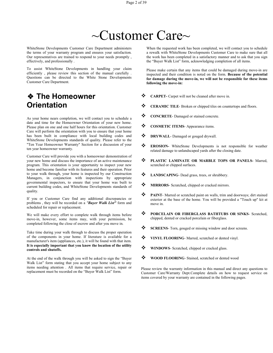# $\sim$ Customer Care $\sim$

WhiteStone Developments Customer Care Department administers the terms of your warranty program and ensures your satisfaction. Our representatives are trained to respond to your needs promptly , effectively, and professionally .

To assist WhiteStone Developments in handling your claim efficiently , please review this section of the manual carefully . Questions can be directed to the White Stone Developments Customer Care Department.

# ❖ **The Homeowner Orientation**

As your home nears completion, we will contact you to schedule a date and time for the Homeowner Orientation of your new home.<br>Please plan on one and one half hours for this orientation. Customer Please plan on one and one half hours for this orientation. Customer Care will perform the orientation with you to ensure that your home has been built in compliance with local building codes and WhiteStone Developments standards of quality. Please refer to the "Ten Year Homeowner Warranty" Section for a discussion of your ten year homeowner warranty.

Customer Care will provide you with a homeowner demonstration of vour new home and discuss the importance of an active maintenance  $\bullet$ your new home and discuss the importance of an active maintenance program. This orientation is your opportunity to inspect your new home and become familiar with its features and their operation. Prior to your walk through, your home is inspected by our Construction  $\leftrightarrow$ Managers, in conjunction with inspections by appropriate governmental inspectors, to ensure that your home was built to current building codes, and WhiteStone Developments standards of quality.

If you or Customer Care find any additional discrepancies or problems , they will be recorded on a *"Buyer Walk List"* form and scheduled for repair or replacement.

We will make every effort to complete walk through items before  $\ddot{\bullet}$ move-in, however, some items may, with your permission, be completed following the close of escrow and after you move in.

Take time during your walk through to discuss the proper operation of the components in your home. If literature is available for a manufacturer's item (appliances, etc.), it will be found with that item. **It is especially important that you know the location of the utility controls and shutoffs.**

At the end of the walk through you will be asked to sign the "Buyer" Walk List" form stating that you accept your home subject to any items needing attention . All items that require service, repair or replacement must be recorded on the "Buyer Walk List" form.

When the requested work has been completed, we will contact you to schedule a rewalk with WhiteStone Developments Customer Care to make sure that all the work has been completed in a satisfactory manner and to ask that you sign the "Buyer Walk List" form, acknowledging completion of all items.

Please make certain that any items that could be damaged during move-in are inspected and their condition is noted on the form. **Because of the potential for damage during the move-in, we will not be responsible for these items following the move-in:**

- **CARPET-** Carpet will not be cleaned after move in.
- **CERAMIC TILE** Broken or chipped tiles on countertops and floors.
- **CONCRETE** Damaged or stained concrete.
- **COSMETIC ITEMS-** Appearance items.
- **DRYWALL** Damaged or gouged drywall.
- **EROSION-** WhiteStone Developments is not responsible for weather related damage to unlandscaped yards after the closing date.
- **PLASTIC LAMINATE OR MARBLE TOPS OR PANELS-** Marred, scratched or chipped surfaces.
- **LANDSCAPING** Dead grass, trees, or shrubbery.
- **MIRRORS** Scratched, chipped or cracked mirrors.
- **PAINT** Marred or scratched paint on walls, trim and doorways; dirt stained exterior at the base of the home. You will be provided a "Touch up" kit at
- **PORCELAIN OR FIBERGLASS BATHTUBS OR SINKS** Scratched, chipped, dented or cracked porcelain or fiberglass.
- SCREENS- Torn, gouged or missing window and door screens.
- **VINYL FLOORING** Marred, scratched or dented vinyl.
- **WINDOWS** Scratched, chipped or cracked glass.
- **WOOD FLOORING** Stained, scratched or dented wood

Please review the warranty information in this manual and direct any questions to Customer Care/Warranty Dept.Complete details on how to request service on items covered by your warranty are contained in the following pages.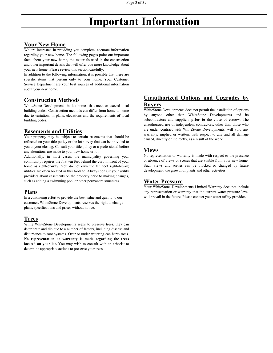# **Important Information**

# **Your New Home**

We are interested in providing you complete, accurate information regarding your new home. The following pages point out important facts about your new home, the materials used in the construction and other important details that will offer you more knowledge about your new home. Please review this section carefully.

In addition to the following information, it is possible that there are specific items that pertain only to your home. Your Customer Service Department are your best sources of additional information about your new home.

# **Construction Methods**

WhiteStone Developments builds homes that meet or exceed local building codes. Construction methods can differ from home to home due to variations in plans, elevations and the requirements of local building codes.

# **Easements and Utilities**

Your property may be subject to certain easements that should be reflected on your title policy or the lot survey that can be provided to you at your closing. Consult your title policy or a professional before any alterations are made to your new home or lot.<br>Additionally, in most cases, the municipality governing your

community requires the first ten feet behind the curb in front of your home as right-of-way. You do not own the ten foot rightof-way; utilities are often located in this footage. Always consult your utility providers about easements on the property prior to making changes, such as adding a swimming pool or other permanent structures.

# **Plans**

In a continuing effort to provide the best value and quality to our customer, WhiteStone Developments reserves the right to change plans, specifications and prices without notice.

# **Trees**

While WhiteStone Developments seeks to preserve trees, they can deteriorate and die due to a number of factors, including disease and disturbance to root systems. Over or under watering can harm trees. **No representation or warranty is made regarding the trees located on your lot.** You may wish to consult with an arborist to determine appropriate actions to preserve your trees.

# **Unauthorized Options and Upgrades by Buyers**

WhiteStone Developments does not permit the installation of options by anyone other than WhiteStone Developments and its subcontractors and suppliers **prior to** the close of escrow. The unauthorized use of independent contractors, other than those who are under contract with WhiteStone Developments, will void any warranty, implied or written, with respect to any and all damage caused, directly or indirectly, as a result of the work.

# **Views**

No representation or warranty is made with respect to the presence or absence of views or scenes that are visible from your new home. Such views and scenes can be blocked or changed by future development, the growth of plants and other activities.

# **Water Pressure**

Your WhiteStone Developments Limited Warranty does not include any representation or warranty that the current water pressure level will prevail in the future. Please contact your water utility provider.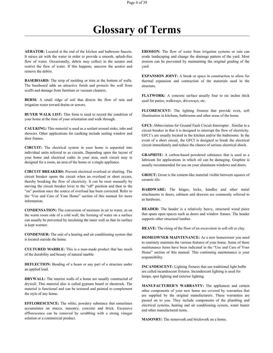# <span id="page-4-0"></span>**Glossary of Terms**

**AERATOR:** Located at the end of the kitchen and bathroom faucets. It mixes air with the water in order to provide a smooth, splash-free flow of water. Occasionally, debris may collect in the aerator and restrict the flow of water. If this happens, unscrew the aerator and remove the debris.

**BASEBOARD:** The strip of molding or trim at the bottom of walls. The baseboard adds an attractive finish and protects the wall from scuffs and damage from furniture or vacuum cleaners.

**BERM:** A small ridge of soil that directs the flow of rain and irrigation water toward drains or sewers.

**BUYER WALK LIST:** This form is used to record the condition of your home at the time of your orientation and walk through.

**CAULKING:** This material is used as a sealant around sinks, tubs and showers. Other applications for caulking include sealing window and door frames.

**CIRCUIT:** The electrical system in your home is separated into individual units referred to as circuits. Depending upon the layout of your home and electrical codes in your area, each circuit may te designed for a room, an area of the home or a single appliance.

**CIRCUIT BREAKERS:** Prevent electrical overload or shorting. The circuit breaker opens the circuit when an overload or short occurs,<br>thereby has higher the flavor of electricity. It are he goest meanally by thereby breaking the flow of electricity. It can be reset manually by moving the circuit breaker lever to the "off' position and then to the "on" position once the source of overload has been corrected. Refer to the "Use and Care of Your Home" section of this manual for more information.

**CONDENSATION:** The conversion of moisture in air to water, as on the warm room side of a cold wall; the forming of water on a surface can usually be prevented by insulating the inner wall so that its surface is kept warmer.

**CONDENSER:** The unit of a heating and air conditioning system that is located outside the home.

**CULTURED MARBLE:** This is a man-made product that has much of the durability and beauty of natural marble.

**DEFLECTION:** Bending of a beam or any part of a structure under an applied load.

**DRYWALL:** The interior walls of a home are usually constructed of drywall. This material also is called gypsum board or sheetrock. The material is functional and can be textured and painted to complement the style of any home.

**EFFLORESCENCE:** The white, powdery substance that sometimes accumulates on stucco, masonry, concrete and brick. Excessive efflorescence can be removed by scrubbing with a strong vinegar solution or a commercial product.

**EROSION:** The flow of water from irrigation systems or rain can erode landscaping and change the drainage pattern of the yard. Most erosion can be prevented by maintaining the original grading of the yard.

**EXPANSION JOINT:** A break or space in construction to allow for thermal expansion and contraction of the materials used in the structure.

**FLATWORK:** A concrete surface usually four to six inches thick used for patios, walkways, driveways, etc.

FLUORESCENT: The lighting fixtures that provide even, soft illumination in kitchens, bathrooms and other areas of the home.

**GFCI:** Abbreviation for Ground Fault Circuit Interrupter . Similar to a circuit breaker in that it is designed to interrupt the flow of electricity. GFCI's are usually located in the kitchen and/or the bathrooms. In the event of a short circuit, the GFCI is designed to break the electrical circuit immediately and reduce the chance of serious electrical shock.

**GRAPHITE:** A carbon-based powdered substance that is used as a lubricant for applications in which oil can be damaging. Graphite is usually recommended for use on your aluminum windows and doors.

**GROUT:** Grout is the cement-like material visible between squares of

**HARDWARE:** The hinges, locks, handles and other metal attachments to doors, cabinets and drawers are commonly referred to as hardware.

**HEADER:** The header is a relatively heavy, structural wood piece that spans open spaces such as doors and window frames. The header supports other structural lumber.

HEAVE: The rising of the floor of an excavation in soft silt or clay.

**HOMEOWNER MAINTENANCE:** As a new homeowner you need to routinely maintain the various features of your home. Some of these maintenance items have been indicated in the "Use and Care of Your Home" section of this manual. This continuing maintenance is your responsibility.

**INCANDESCENT:** Lighting fixtures that use traditional light bulbs are called incandescent fixtures. Incandescent lighting is used for lamps, spot lighting and exterior lighting.

**MANUFACTURER'S WARRANTY:** The appliances and certain other components of your new home are covered by warranties that are supplied by the original manufacturers. These warranties are passed on to you. They include components of the plumbing and electrical systems, heating and air conditioning system, water heater and other manufactured items.

**MASONRY:** The stonework and brickwork on a home.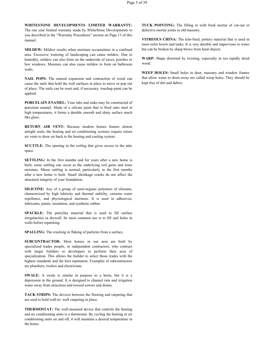**WHITESTONE DEVELOPMENTS LIMITED WARRANTY:** The one year limited warranty made by WhiteStone Developments to you described in the "Warranty Procedures" section on Page 13 of this manual.

**MILDEW:** Mildew results when moisture accumulates in a confined area. Excessive watering of landscaping can cause mildew. Due to humidity, mildew can also form on the underside of eaves, porches or box windows. Moisture can also cause mildew to form on bathroom walls.

**NAIL POPS:** The natural expansion and contraction of wood can cause the nails that hold the wall surfaces in place to move or pop out of place. The nails can be reset and, if necessary, touchup paint can be applied.

**PORCELAIN ENAMEL:** Your tubs and sinks may be constructed of porcelain enamel. Made of a silicate paint that is fired onto steel at high temperatures, it forms a durable smooth and shiny surface much like glass.

**RETURN AIR VENT:** Because modern homes feature almost airtight seals, the heating and air conditioning systems require return air vents to draw air back to the heating and cooling system.

**SCUTTLE:** The opening in the ceiling that gives access to the attic space.

**SETTLING:** In the first months and for years after a new home is built, some settling can occur as the underlying soil gains and loses moisture. Minor settling is normal, particularly in the first months after a new home is built. Small shrinkage cracks do not affect the structural integrity of your foundation.

**SILICONE:** Any of a group of semi-organic polymers of siloxane, characterized by high lubricity and thermal stability, extreme water repellence, and physiological inertness. It is used in adhesives,lubricants, paints, insulation, and synthetic rubber.

**SPACKLE:** The puttylike material that is used to fill surface irregularities in drywall. Its most common use is to fill nail holes in walls before repainting.

**SPALLING:** The cracking or flaking of particles from a surface.

**SUBCONTRACTOR:** Most homes in our area are built by specialized trades people, or independent contractors, who contract with larger builders or developers to perform their area of specialization. This allows the builder to select those trades with the highest standards and the best reputation. Examples of subcontractors are plumbers, roofers and electricians.

**SWALE:** A swale is similar in purpose to a berm, but it is a depression in the ground. It is designed to channel rain and irrigation water away from structures and toward sewers and drains.

**TACK STRIPS:** The devices between the flooring and carpeting that are used to hold wall-to- wall carpeting in place.

**THERMOSTAT:** The wall-mounted device that controls the heating and air conditioning units is a thermostat. By cycling the heating or air conditioning units on and off, itwill maintain a desired temperature in the home.

**TUCK POINTING:** The filling in with fresh mortar of cut-out or defective mortar joints in old masonry.

**VITREOUS CHINA:** The kiln-fired, pottery material that is used in most toilet bowls and tanks. It is very durable and impervious to water but can be broken by sharp blows from hard objects.

**WARP:** Shape distorted by twisting, especially in too rapidly dried wood.

**WEEP HOLES:** Small holes in door, masonry and window frames that allow water to drain away are called weep holes. They should be kept free of dirt and debris.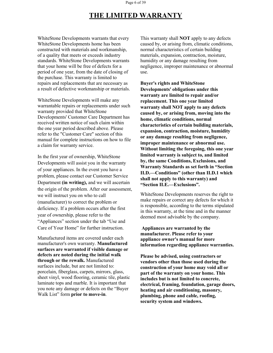#### Page 6 of 39

# **THE LIMITED WARRANTY**

WhiteStone Developments warrants that every WhiteStone Developments home has been constructed with materials and workmanship, of a quality that meets or exceeds industry standards. WhiteStone Developments warrants that your home will be free of defects for a period of one year, from the date of closing of the purchase. This warranty is limited to repairs and replacements that are necessary as a result of defective workmanship or materials.

WhiteStone Developments will make any warrantable repairs or replacements under such warranty provided that WhiteStone Developments' Customer Care Department has received written notice of such claim within the one year period described above. Please refer to the "Customer Care" section of this manual for complete instructions on how to file a claim for warranty service.

In the first year of ownership, WhiteStone Developments will assist you in the warranty of your appliances. In the event you have a problem, please contact our Customer Service Department **(in writing),** and we will ascertain the origin of the problem. After our assessment, we will instruct you on who to call (manufacturer) to correct the problem or deficiency. If a problem occurs after the first year of ownership, please refer to the "Appliances" section under the tab "Use and Care of Your Home" for further instruction.

Manufactured items are covered under each manufacturer's own warranty. **Manufactured surfaces are warranted if visible damage or defects are noted during the initial walk through or the rewalk.** Manufactured surfaces include, but are not limited to: porcelain, fiberglass, carpets, mirrors, glass, sheet vinyl, wood flooring, ceramic tile, plastic laminate tops and marble. It is important that you note any damage or defects on the "Buyer Walk List" form **prior to move-in**.

This warranty shall **NOT** apply to any defects caused by, or arising from, climatic conditions, normal characteristics of certain building materials, expansion, contraction, moisture, humidity or any damage resulting from negligence, improper maintenance or abnormal use.

**Buyer's rights and WhiteStone Developments' obligations under this warranty** are limited to repair and/or **replacement. This one year limited warranty shall NOT apply to any defects caused by, or arising from, moving into the home, climatic conditions, normal characteristics** of certain building materials, **expansion, contraction, moisture, humidity or any damage resulting from negligence, improper maintenance or abnormal use. Without limiting the foregoing, this one year limited warranty is subject to, and limited by, the same Conditions, Exclusions, and Warranty Standards as set forth in "Section II.D.—Conditions" (other than II.D.1 which shall not apply to this warranty) and "Section II.E.—Exclusions".**

WhiteStone Developments reserves the right to make repairs or correct any defects for which it is responsible, according to the terms stipulated in this warranty, at the time and in the manner deemed most advisable by the company.

# **Appliances are warranted by the manufacturer. Please refer to your appliance owner's manual for more information regarding appliance warranties.**

**Please be advised, using contractors or vendors other than those used during the construction of your home may void all or part of the warranty on your home. This includes** but is not limited to concrete, **electrical, framing, foundation, garage doors, heating and air conditioning, masonry, plumbing, phone and cable, roofing, security system and windows.**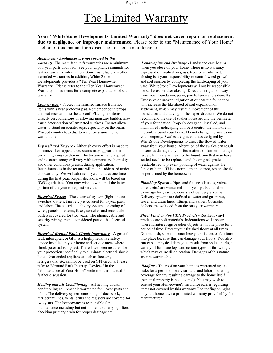# The Limited Warranty

**Your "WhiteStone Developments Limited Warranty" does not cover repair or replacement due to negligence or improper maintenance.** Please refer to the "Maintenance of Your Home" section of this manual for a discussion of house maintenance.

*Appliances - Appliances are not covered by this warranty.* The manufacturer's warranties are a minimum of 1 year parts and labor. See yourappliance manuals for further warranty information. Some manufacturers offer extended warranties.In addition, White Stone<br>Developments provides a "Ten Year Homeowner and soil erosion by completing the landscaping of your Developments provides a "Ten Year Homeowner Warranty". Please refer to the "Ten Year Homeowner Warranty" documents for a complete explanation of such warranty .

*Counter tops -* Protect the finished surface from hot items with a heat protector pad. Remember countertops are heat resistant - not heat proof! Placing hot items directly on countertops or allowing moisture buildup may cause deterioration of laminated surfaces. Do not allow water to stand on counter tops, especially on the seams. Warped counter tops due to water on seams are not warrantable.

*Dry wall and Texture -* Although every effort is made to minimize their appearance, seams may appear under certain lighting conditions. The texture is hand applied and its consistency will vary with temperature, humidity and other conditions present during application. Inconsistencies in the texture will not be addressed under this warranty. We will address drywall cracks one time during the first year. Repair decisions will be based on RWC guidelines. You may wish to wait until the latter portion of the year to request service.

*Electrical System -* The electrical system (light fixtures, switches, outlets, fans, etc.) is covered for 1-year parts and labor. The electrical delivery system consisting of wires, panels, breakers, fuses, switches and receptacle outlets is covered for two years. The phone, cable and security wiring are not considered part of the electrical system.

*Electrical Ground Fault Circuit Interrupter -* A ground fault interrupter, or GFI, is a highly sensitive safety device installed in your home and service areas where shock potential is highest. These have been installed for your protection specifically to eliminate electrical shock. Note: Unattended appliances such as freezers,<br>refrigerators, etc. cannot be used on GFI circuits. Please refer to "Ground Fault Interrupt Devices" in the "Maintenance of Your Home" section of this manual for further discussion.

*Heating and Air Conditioning -* All heating and air conditioning equipment is warranted for 1 year parts and labor. The delivery system consisting of duct work, refrigerant lines, vents, grills and registers are covered for two years. The homeowner is responsible for maintenance including but not limited to changing filters, checking primary drain for proper drainage etc.

*Landscaping and Drainage -* Landscape care begins when you close on your home. There is no warranty expressed or implied on grass, trees or shrubs. After closing is it your responsibility to control weed growth yard. WhiteStone Developments will not be responsible for soil erosion after closing. Direct all irrigation away from your foundation, patio, porch, fence and sidewalks. Excessive or uneven irrigation at or near the foundation will increase the likelihood of soil expansion or settlement, which may result in movement of the foundation and cracking of the super structure. We do not recommend the use of soaker hoses around the perimeter of your foundation. Properly designed, installed, and maintained landscaping will best control the moisture in the soils around your home. Do not change the swales on your property**.** Swales are graded areas designed by WhiteStone Developments to direct the flow of water away from your house. Alteration of the swales can result in serious damage to your foundation, or further drainage issues. Fill material next to the foundation that may have settled needs to be replaced and the original grade reestablished to prevent ponding of water against the fence or home. This is normal maintenance, which should be performed by the homeowner.

*Plumbing System -* Pipes and fixtures (faucets, valves, toilets, etc.) are warranted for 1 year parts and labor. Coverage for year two consists of delivery systems. Delivery systems are defined as water and gas pipes, sewer and drain lines, fittings and valves. Cosmetic defects are excluded from the one year warranty.

*Sheet Vinyl or Vinyl Tile Products -* Resilient vinyl products are soft materials. Indentations will appear where furniture legs or other objects sit in one place for a period of time. Protect your finished floors at all times. Do not push, shove or scoot heavy appliances or furniture into place because this can damage your floors. You also can expect physical damage to result from spiked heels, a variety of furniture legs and certain types of throw rugs, which may cause discoloration. Damages of this nature are not warrantable.

.*Roofing -* The roof on your home is warranted against leaks for a period of one year parts and labor, including coverage for any resulting damage to the home itself (personal property is not covered). You may wish to contact your Homeowner's Insurance carrier regarding items not covered by this warranty The roofing shingles on your. home have a pro- rated warranty provided by the manufacturer.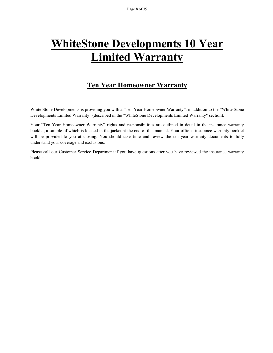# <span id="page-8-0"></span>**WhiteStone Developments 10 Year Limited Warranty**

# **Ten Year Homeowner Warranty**

White Stone Developments is providing you with a "Ten Year Homeowner Warranty", in addition to the "White Stone Developments Limited Warranty" (described in the "WhiteStone Developments Limited Warranty" section).

Your "Ten Year Homeowner Warranty" rights and responsibilities are outlined in detail in the insurance warranty booklet, a sample of which is located in the jacket at the end of this manual. Your official insurance warranty booklet will be provided to you at closing. You should take time and review the ten year warranty documents to fully

understand your coverage and exclusions.<br>Please call our Customer Service Department if you have questions after you have reviewed the insurance warranty booklet.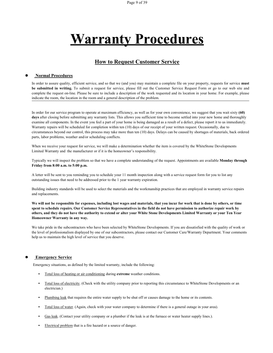# **Warranty Procedures**

# **How to Request Customer Service**

#### ● **Normal Procedures**

In order to assure quality, efficient service, and so that we (and you) may maintain a complete file on your property, requests for service **must** be submitted in writing. To submit a request for service, please fill out the Customer Service Request Form or go to our web site and complete the request on-line. Please be sure to include a description of the work requested and its location in your home. For example, please indicate the room, the location in the room and a general description of the problem.

In order for our service program to operate atmaximum efficiency, as well as for your own convenience, we suggest that you wait sixty **(60)** days after closing before submitting any warranty lists. This allows you sufficient time to become settled into your new home and thoroughly examine all components. In the event you feel a part of your home is being damaged as a result of a defect, please report it to us immediately. Warranty repairs will be scheduled for completion within ten (10) days of our receipt of your written request. Occasionally, due to circumstances beyond our control, this process may take more than ten (10) days. Delays can be caused by shortages ofmaterials, back ordered parts, labor problems, weather and/or scheduling conflicts.

When we receive your request for service, we will make a determination whether the item is covered by the WhiteStone Developments Limited Warranty and the manufacturer or if it is the homeowner's responsibility.

Typically we will inspect the problem so that we have a complete understanding of the request. Appointments are available **Monday through Friday from 8:00 a.m. to 5:00 p.m.**

A letter will be sent to you reminding you to schedule your 11 month inspection along with a service request form for you to list any outstanding issues that need to be addressed prior to the 1 year warranty expiration.

Building industry standards will be used to select the materials and the workmanship practices that are employed in warranty service repairs and replacements.

We will not be responsible for expenses, including lost wages and materials, that you incur for work that is done by others, or time spent to schedule repairs. Our Customer Service Representatives in the field do not have permission to authorize repair work by others, and they do not have the authority to extend or alter your White Stone Developments Limited Warranty or your Ten Year **Homeowner Warranty in any way.**

We take pride in the subcontractors who have been selected by WhiteStone Developments. If you are dissatisfied with the quality of work or the level of professionalism displayed by one of our subcontractors, please contact our Customer Care/Warranty Department. Your comments help us to maintain the high level of service that you deserve.

#### **Emergency Service**

Emergency situations, as defined by the limited warranty, include the following:

- Total loss of heating or air conditioning during **extreme** weather conditions.
- Total loss of electricity. (Check with the utility company prior to reporting this circumstance to WhiteStone Developments or an electrician.)
- **•** Plumbing leak that requires the entire water supply to be shut off or causes damage to the home or its contents.
- **•** Total loss ofwater. (Again, check with your water company to determine if there is a general outage in your area).
- **•** Gas leak. (Contact your utility company or a plumber if the leak is at the furnace or water heater supply lines.).
- **•** Electrical problem that is a fire hazard or a source of danger.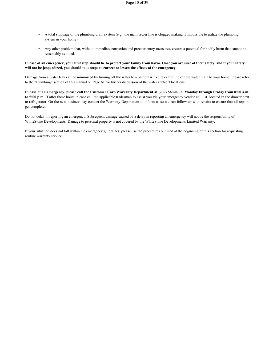- **•** A total stoppage of the plumbing drain system (e.g., the main sewer line is clogged making it impossible to utilize the plumbing system in your home).
- **•** Any other problem that, without immediate correction and precautionary measures, creates a potential for bodily harm that cannot be reasonably avoided.

#### In case of an emergency, your first step should be to protect your family from harm. Once you are sure of their safety, and if your safety **will not be jeopardized, you should takesteps to correct or lessen the effects ofthe emergency.**

Damage from a water leak can be minimized by turning off the water to a particular fixture or turning off the water main to your home. Please refer to the "Plumbing" section of this manual on Page 61 for further discussion of the water shut-off locations.

In case of an emergency, please call the Customer Care/Warranty Department at (239) 560-0702, Monday through Friday from 8:00 a.m. to 5:00 p.m. If after these hours, please call the applicable tradesman to assist you via your emergency vendor call list, located in the drawer next to refrigerator. On the next business day contact the Warranty Department to inform us so we can follow up with repairs to ensure that all repairs get completed.

Do not delay in reporting an emergency. Subsequent damage caused by a delay in reporting an emergency will not be the responsibility of WhiteStone Developments. Damage to personal property is not covered by the WhiteStone Developments Limited Warranty.

If your situation does not fall within the emergency guidelines, please use the procedures outlined at the beginning of this section for requesting routine warranty service.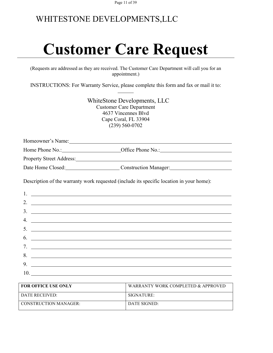Page 11 of 39

# WHITESTONE DEVELOPMENTS,LLC

# **Customer Care Request**

(Requests are addressed as they are received. The Customer Care Department will call you for an appointment.)

INSTRUCTIONS: For Warranty Service, please complete this form and fax or mail it to:

WhiteStone Developments, LLC Customer Care Department 4637 Vincennes Blvd Cape Coral, FL 33904 (239) 560-0702

Homeowner's Name:

Home Phone No.: **Office Phone No.: Office Phone No.:** 

Property Street Address:

Date Home Closed: Construction Manager:

Description of the warranty work requested (include its specific location in your home):

| 2. $\overline{\phantom{a}}$ |
|-----------------------------|
| $\frac{3}{2}$               |
| 4. $\overline{\phantom{a}}$ |
|                             |
|                             |
|                             |
| 8.                          |
| 9. $\overline{\phantom{a}}$ |
|                             |

| <b>FOR OFFICE USE ONLY</b> | WARRANTY WORK COMPLETED & APPROVED |
|----------------------------|------------------------------------|
| DATE RECEIVED:             | SIGNATURE:                         |
| CONSTRUCTION MANAGER:      | DATE SIGNED:                       |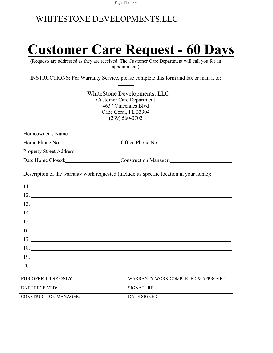Page 12 of 39

# WHITESTONE DEVELOPMENTS,LLC

# **Customer Care Request - 60 Days**

(Requests are addressed as they are received. The Customer Care Department will call you for an appointment.)

INSTRUCTIONS: For Warranty Service, please complete this form and fax or mail it to:

WhiteStone Developments, LLC Customer Care Department 4637 Vincennes Blvd Cape Coral, FL 33904 (239) 560-0702

Home Phone No.: Office Phone No.:

Property Street Address: Manual Address: All Annual Address: Annual Address: Annual Address: Annual Address: Annual Address: Annual Address: Address: Address: Address: Address: Address: Address: Address: Address: Address:

Date Home Closed: Construction Manager:

Description of the warranty work requested (include its specific location in your home):

| $16.$ $\overline{\phantom{a}}$ |
|--------------------------------|
|                                |
|                                |
| 19.                            |
| 20.                            |

| <b>FOR OFFICE USE ONLY</b> | WARRANTY WORK COMPLETED & APPROVED |
|----------------------------|------------------------------------|
| DATE RECEIVED:             | SIGNATURE:                         |
| CONSTRUCTION MANAGER:      | DATE SIGNED:                       |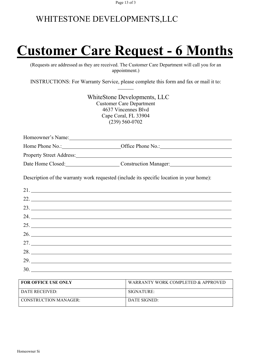# **Customer Care Request - 6 Months**

(Requests are addressed as they are received. The Customer Care Department will call you for an appointment.)

INSTRUCTIONS: For Warranty Service, please complete this form and fax or mail it to:

WhiteStone Developments, LLC Customer Care Department 4637 Vincennes Blvd Cape Coral, FL 33904 (239) 560-0702

Homeowner's Name:

Home Phone No.: Office Phone No.:

Property Street Address:

Date Home Closed: Construction Manager:

Description of the warranty work requested (include its specific location in your home):

| $22.$ $\overline{\phantom{a}}$ |
|--------------------------------|
|                                |
| 24.                            |
|                                |
|                                |
|                                |
| 28.                            |
| 29.                            |
| 30.                            |

| <b>FOR OFFICE USE ONLY</b> | WARRANTY WORK COMPLETED & APPROVED |
|----------------------------|------------------------------------|
| DATE RECEIVED:             | SIGNATURE:                         |
| CONSTRUCTION MANAGER:      | DATE SIGNED:                       |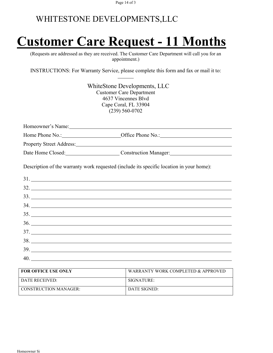# **Customer Care Request - 11 Months**

(Requests are addressed as they are received. The Customer Care Department will call you for an appointment.)

INSTRUCTIONS: For Warranty Service, please complete this form and fax or mail it to:

| WhiteStone Developments, LLC<br><b>Customer Care Department</b><br>4637 Vincennes Blyd<br>Cape Coral, FL 33904<br>$(239) 560 - 0702$ |  |
|--------------------------------------------------------------------------------------------------------------------------------------|--|
|                                                                                                                                      |  |
|                                                                                                                                      |  |
|                                                                                                                                      |  |
| Date Home Closed: Construction Manager: Construction Manager:                                                                        |  |
| Description of the warranty work requested (include its specific location in your home):                                             |  |
| 31.                                                                                                                                  |  |
|                                                                                                                                      |  |
|                                                                                                                                      |  |
|                                                                                                                                      |  |
| 35.                                                                                                                                  |  |
|                                                                                                                                      |  |
|                                                                                                                                      |  |
|                                                                                                                                      |  |
| 39.                                                                                                                                  |  |
|                                                                                                                                      |  |

| <b>FOR OFFICE USE ONLY</b>   | WARRANTY WORK COMPLETED & APPROVED |
|------------------------------|------------------------------------|
| DATE RECEIVED:               | SIGNATIIRE:                        |
| <b>CONSTRUCTION MANAGER:</b> | DATE SIGNED:                       |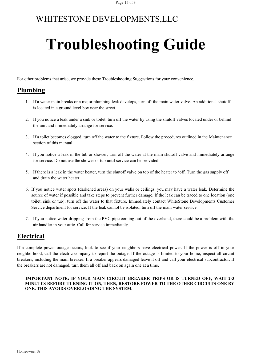# **Troubleshooting Guide**

For other problems that arise, we provide these Troubleshooting Suggestions for your convenience.

# **Plumbing**

- 1. If a water main breaks or a major plumbing leak develops, turn off the main water valve. An additional shutoff is located in a ground level box near the street.
- 2. If you notice a leak under a sink or toilet, turn off the water by using the shutoff valves located under or behind the unit and immediately arrange for service.
- 3. If a toilet becomes clogged, turn off the water to the fixture. Follow the procedures outlined in the Maintenance section of this manual.
- 4. If you notice a leak in the tub or shower, turn off the water at the main shutoff valve and immediately arrange for service. Do not use the shower or tub until service can be provided.
- 5. If there is a leak in the water heater, turn the shutoff valve on top of the heater to 'off. Turn the gas supply off and drain the water heater.
- 6. If you notice water spots (darkened areas) on your walls or ceilings, you may have a water leak. Determine the source of water if possible and take steps to prevent further damage. If the leak can be traced to one location (one toilet, sink or tub), turn off the water to that fixture. Immediately contact WhiteStone Developments Customer Service department for service. If the leak cannot be isolated, turn off the main water service.
- 7. If you notice water dripping from the PVC pipe coming out of the overhand, there could be a problem with the air handler in your attic. Call for service immediately.

# **Electrical**

If a complete power outage occurs, look to see if your neighbors have electrical power. If the power is off in your neighborhood, call the electric company to report the outage. If the outage islimited to your home, inspect all circuit breakers, including the main breaker. If a breaker appears damaged leave it off and call your electrical subcontractor. If the breakers are not damaged, turn them all off and back on again one at a time.

## **IMPORTANT NOTE: IF YOUR MAIN CIRCUIT BREAKER TRIPS OR IS TURNED OFF, WAIT 2-3 MINUTES BEFORE TURNING IT ON, THEN, RESTORE POWER TO THE OTHER CIRCUITS ONE BY ONE. THIS AVOIDS OVERLOADING THE SYSTEM.**

**.**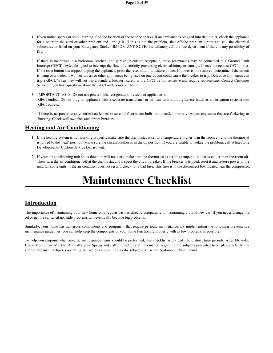- 1. If you notice sparks or smell burning, find the location of the odoror sparks. If an appliance isplugged into that outlet, check the appliance for a short in the cord or other problem and unplug it. If this is not the problem, shut off the problem circuit and call the electrical subcontractor listed on your Emergency Sticker. IMPORTANT NOTE: Immediately call the fire department if there isany possibility of fire.
- 2. If there is no power in a bathroom, kitchen, and garage or outside receptacle, these receptacles may be connected to a Ground Fault Interrupt (GFCI) device designed to interrupt the flow of electricity preventing electrical injury or damage. Locate the nearest GFCI outlet. If the reset button has tripped, unplug the appliance; press the reset button to restore power. If power is not restored, determine if the circuit is being overloaded. Two hair dryers or other appliances being used on one circuit could cause the breaker to trip. Defective appliances can trip a GFCI. When they will not trip a standard breaker. Rarely will a GFCI be too sensitive and require replacement. Contact Customer Service if you have questions about the GFCI outlets in your home.
- 3. IMPORTANT NOTE: Do not use power tools, refrigerators, freezers orappliances in GFCI outlets. Do not plug an appliance with a separate transformer or an item with a timing device (such as an irrigation system) into GFCI outlets.
- 4. If there isno power to an electrical outlet, make sure all fluorescent bulbs are installed properly. Adjust any tubes that are flickering or buzzing. Check wall switches and circuit breakers.

# **Heating and Air Conditioning**

- 1. If the heating system is not working properly, make sure the thermostat is set to a temperature higher than the room air and the thermostat is turned to the 'heat' position. Make sure the circuit breaker is in the on position. If you are unable to isolate the problem, call WhiteStone Developments' Custom Service Department.
- 2. If your air conditioning unit shuts down or will not start, make sure the thermostat is set to a temperature that is cooler than the room air. Then, turn the air conditioner off at the thermostat and inspect the circuit breaker. If the breaker is tripped, reset it and restore power to the unit. On some units, if the air condition does not restart, check for a bad fuse. This fuse is in the disconnect box located near the compressor.

# **Maintenance Checklist**

# **Introduction**

The importance of maintaining your new home on a regular basis is directly comparable to maintaining a brand new car. If you never change the oil or get the car tuned up, little problems will eventually become big problems.

Similarly, your home has numerous components and equipment that require periodic maintenance. By implementing the following preventative maintenance guidelines, you can help keep the components ofyour home functioning properly with as few problems as possible.

To help you pinpoint when specific maintenance items should be performed, this checklist is divided into distinct time periods: After Move-In, Every Month, Six Months, Annually, plus Spring and Fall. For additional information regarding the subjects presented here, please refer to the appropriate manufacturer's operating instructions and/or the specific subject discussions contained in this manual.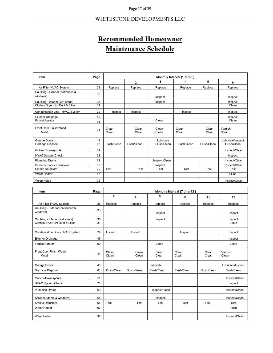# **Recommended Homeowner Maintenance Schedule**

| Item                                         | Page | Monthly Interval (1 thru 6) |                |                |                |                |                   |
|----------------------------------------------|------|-----------------------------|----------------|----------------|----------------|----------------|-------------------|
|                                              |      | 1                           | $\mathbf{2}$   | 3              | 4              | 5              | 6                 |
| Air Filter-HVAC System                       | 28   | Replace                     | Replace        | Replace        | Replace        | Replace        | Replace           |
| Caulking - Exterior (entrances &<br>windows) | 36   |                             |                | Inspect        |                |                | Inspect           |
| Caulking - Interior (wet areas)              | 36   |                             |                | Inspect        |                |                | Inspect           |
| Clothes Dryer Lint Duct & Filter             | 31   |                             |                |                |                |                | Clean             |
| Condensation Line - HVAC System              | 29   | Inspect                     | Inspect        |                | Inspect        |                | Inspect           |
| <b>Exterior Drainage</b>                     | 50   |                             |                |                |                |                | Inspect           |
| <b>Faucet Aerator</b>                        | 61   |                             |                | Clean          |                |                | Clean             |
| Front Door Finish Wood<br>Metal              | 41   | Clean<br>Clean              | Clean<br>Clean | Clean<br>Clean | Clean<br>Clean | Clean<br>Clean | Varnish<br>Clean  |
| Garage Doors                                 | 48   |                             |                | Lubricate      |                |                | Lubricate/Inspect |
| Garbage Disposal                             | 63   | Flush/Clean                 | Flush/Clean    | Flush/Clean    | Flush/Clean    | Flush/Clean    | Flush/Clean       |
| Gutters/Downspouts                           | 51   |                             |                |                |                |                | Inspect/Clean     |
| <b>HVAC System Check</b>                     | 28   |                             |                |                |                |                | Inspect           |
| <b>Plumbing Drains</b>                       | 61   |                             |                | Inspect/Clean  |                |                | Inspect/Clean     |
| Screens (doors & windows                     | 68   |                             |                | Inspect        |                |                | Inspect/Clean     |
| <b>Smoke Detectors</b>                       | 66   | Test                        | Test           | Test           | Test           | Test           | Test              |
| <b>Water Heater</b>                          | 67   |                             |                |                |                |                | Flush             |
| Weep Holes                                   | 32   |                             |                |                |                |                | Inspect/Clean     |

| Item                                         | Page            | Monthly Interval (7 thru 12) |                |                |                |                |                   |
|----------------------------------------------|-----------------|------------------------------|----------------|----------------|----------------|----------------|-------------------|
|                                              |                 | $\overline{7}$               | 8              | 9              | 10             | 11             | 12                |
| Air Filter-HVAC System                       | 28              | Replace                      | Replace        | Replace        | Replace        | Replace        | Replace           |
| Caulking - Exterior (entrances &<br>windows) | 36              |                              |                | Inspect        |                |                | Inspect           |
| Caulking - Interior (wet areas)              | 36              |                              |                | Inspect        |                |                | Inspect           |
| Clothes Dryer Lint Duct & Filter             | $\overline{31}$ |                              |                |                |                |                | Clean             |
| Condensation Line - HVAC System              | 29              | Inspect                      | Inspect        |                | Inspect        |                | Inspect           |
| <b>Exterior Drainage</b>                     | 49              |                              |                |                |                |                | Inspect           |
| <b>Faucet Aerator</b>                        | 60              |                              |                | Clean          |                |                | Clean             |
| Front Door Finish Wood<br>Metal              | 41              | Clean<br>Clean               | Clean<br>Clean | Clean<br>Clean | Clean<br>Clean | Clean<br>Clean | Varnish<br>Clean  |
| Garage Doors                                 | 48              |                              |                | Lubricate      |                |                | Lubricate/Inspect |
| Garbage Disposal                             | 61              | Flush/Clean                  | Flush/Clean    | Flush/Clean    | Flush/Clean    | Flush/Clean    | Flush/Clean       |
| Gutters/Downspouts                           | 51              |                              |                |                |                |                | Inspect/Clean     |
| <b>HVAC System Check</b>                     | 28              |                              |                |                |                |                | Inspect           |
| <b>Plumbing Drains</b>                       | 60              |                              |                | Inspect/Clean  |                |                | Inspect/Clean     |
| Screens (doors & windows)                    | 68              |                              |                | Inspect        |                |                | Inspect/Clean     |
| <b>Smoke Detectors</b>                       | 66              | Test                         | Test           | Test           | Test           | Test           | Test              |
| Water Heater                                 | 67              |                              |                |                |                |                | Flush             |
| Weep Holes                                   | 32              |                              |                |                |                |                | Inspect/Clean     |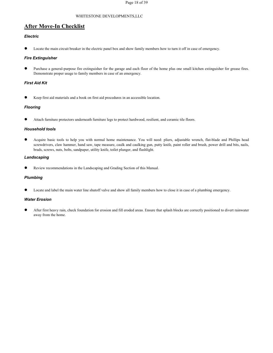# **After Move-In Checklist**

#### *Electric*

Locate the main circuit breaker in the electric panel box and show family members how to turn it off in case of emergency.

#### *Fire Extinguisher*

Purchase a general-purpose fire extinguisher for the garage and each floor of the home plus one small kitchen extinguisher for grease fires. Demonstrate proper usage to family members in case of an emergency.

#### *First Aid Kit*

Keep first aid materials and a book on first aid procedures in an accessible location.

#### *Flooring*

Attach furniture protectors underneath furniture legs to protect hardwood, resilient, and ceramic tile floors.

#### *Household tools*

● Acquire basic tools to help you with normal home maintenance. You will need: pliers, adjustable wrench, flat-blade and Phillips head screwdrivers, claw hammer, hand saw, tape measure, caulk and caulking gun, putty knife, paint roller and brush, power drill and bits, nails, brads, screws, nuts, bolts, sandpaper, utility knife, toilet plunger, and flashlight.

#### *Landscaping*

Review recommendations in the Landscaping and Grading Section of this Manual.

#### *Plumbing*

Locate and label the main water line shutoff valve and show all family members how to close it in case of a plumbing emergency.

#### *Water Erosion*

After first heavy rain, check foundation for erosion and fill eroded areas. Ensure that splash blocks are correctly positioned to divert rainwater away from the home.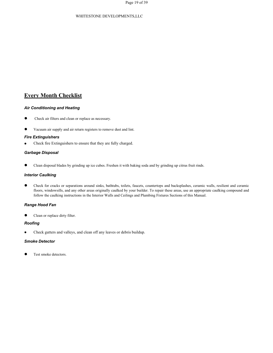# **Every Month Checklist**

#### *Air Conditioning and Heating*

- Check air filters and clean or replace as necessary.
- Vacuum air supply and air return registers to remove dust and lint.

#### *Fire Extinguishers*

Check fire Extinguishers to ensure that they are fully charged.

#### *Garbage Disposal*

Clean disposal blades by grinding up ice cubes. Freshen it with baking soda and by grinding up citrus fruit rinds.

#### *Interior Caulking*

Check for cracks or separations around sinks, bathtubs, toilets, faucets, countertops and backsplashes, ceramic walls, resilient and ceramic floors, windowsills, and any other areas originally caulked by your builder. To repair these areas, use an appropriate caulking compound and follow the caulking instructions in the Interior Walls and Ceilings and Plumbing Fixtures Sections ofthis Manual.

#### *Range Hood Fan*

Clean or replace dirty filter.

#### *Roofing*

Check gutters and valleys, and clean off any leaves or debris buildup.

#### *Smoke Detector*

Test smoke detectors.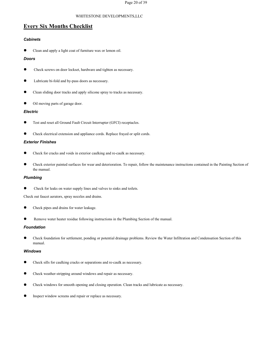# **Every Six Months Checklist**

#### *Cabinets*

Clean and apply a light coat of furniture wax or lemon oil.

#### *Doors*

- Check screws on door lockset, hardware and tighten as necessary.
- Lubricate bi-fold and by-pass doors as necessary.
- Clean sliding door tracks and apply silicone spray to tracks as necessary.
- Oil moving parts of garage door.

#### *Electric*

- Test and reset all Ground Fault Circuit Interrupter (GFCI) receptacles.
- Check electrical extension and appliance cords. Replace frayed or split cords.

#### *Exterior Finishes*

- Check for cracks and voids in exterior caulking and re-caulk as necessary.
- Check exterior painted surfaces for wear and deterioration. To repair, follow the maintenance instructions contained in the Painting Section of the manual.

#### *Plumbing*

Check for leaks on water supply lines and valves to sinks and toilets.

Check out faucet aerators, spray nozzles and drains.

- Check pipes and drains for water leakage.
- Remove water heater residue following instructions in the Plumbing Section of the manual.

#### *Foundation*

Check foundation for settlement, ponding or potential drainage problems. Review the Water Infiltration and Condensation Section of this manual.

#### *Windows*

- Check sills for caulking cracks or separations and re-caulk as necessary.
- Check weather-stripping around windows and repair as necessary.
- Check windows for smooth opening and closing operation. Clean tracks and lubricate as necessary.
- Inspect window screens and repair or replace as necessary.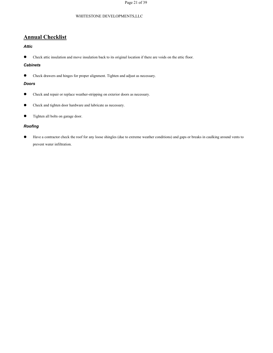# **Annual Checklist**

#### *Attic*

● Check attic insulation and move insulation back to its original location if there are voids on the attic floor.

### *Cabinets*

● Check drawers and hinges for proper alignment. Tighten and adjust as necessary.

#### *Doors*

- Check and repair or replace weather-stripping on exterior doors as necessary.
- **•** Check and tighten door hardware and lubricate as necessary.
- Tighten all bolts on garage door.

#### *Roofing*

Have a contractor check the roof for any loose shingles (due to extreme weather conditions) and gaps or breaks in caulking around vents to prevent water infiltration.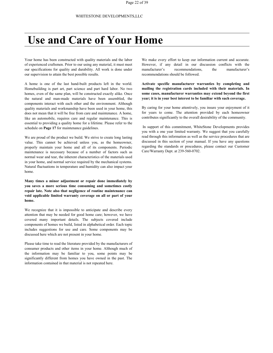# **Use and Care of Your Home**

Your home has been constructed with quality materials and the labor of experienced craftsmen. Prior to our using any material, it must meet our specifications for quality and durability. All work is done under our supervision to attain the best possible results.

A home is one of the last hand-built products left in the world. Homebuilding is part art, part science and part hard labor. No two homes, even of the same plan, will be constructed exactly alike. Once the natural and man-made materials have been assembled, the components interact with each other and the environment. Although quality materials and workmanship have been used in your home, this does not mean that it will be free from care and maintenance. A home, like an automobile, requires care and regular maintenance. This is essential to providing a quality home for a lifetime. Please refer to the schedule on **Page 17** for maintenance guidelines.

We are proud of the product we build. We strive to create long lasting value. This cannot be achieved unless you, as the homeowner, properly maintain your home and all of its components. Periodic maintenance is necessary because of a number of factors such as normal wear and tear, the inherent characteristics of the materials used in your home, and normal service required by the mechanical systems. Natural fluctuations in temperature and humidity can also impact your home.

**Many times a minor adjustment or repair done immediately by you saves a more serious time consuming and sometimes costly repair late. Note also that negligence of routine maintenance can void applicable limited warranty coverage on all or part of your home.**

We recognize that it is impossible to anticipate and describe every attention that may be needed for good home care; however, we have covered many important details. The subjects covered include components of homes we build, listed in alphabetical order. Each topic includes suggestions for use and care. Some components may be

discussed here which are not present in your home.<br>Please take time to read the literature provided by the manufacturers of consumer products and other items in your home. Although much of the information may be familiar to you, some points may be significantly different from homes you have owned in the past. The information contained in that material is not repeated here.

We make every effort to keep our information current and accurate. However, if any detail in our discussion conflicts with the manufacturer's recommendations, the manufacturer's recommendations should be followed.

**Activate specific manufacturer warranties by completing and mailing the registration cards included with their materials. In some cases, manufacturer warranties may extend beyond the first year; it is in your bestinterest to be familiar with such coverage.**

By caring for your home attentively, you insure yourenjoyment of it for years to come. The attention provided by each homeowner contributes significantly to the overall desirability of the community.

In support of this commitment, WhiteStone Developments provides you with a one year limited warranty. We suggest that you carefully read through this information as well as the service procedures that are discussed in this section of your manual. If you have any questions regarding the standards or procedures, please contact our Customer Care/Warranty Dept. at 239-560-0702.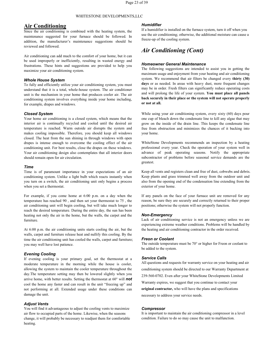### **Air Conditioning**

Since the air conditioning is combined with the heating system, the maintenance suggested for your furnace should be followed. In addition, the manufacturer's maintenance suggestions should be reviewed and followed.

Air conditioning can add much to the comfort of your home, but it can be used improperly or inefficiently, resulting in wasted energy and frustrations. These hints and suggestions are provided to help you maximize your air conditioning system.

#### *Whole House System*

To fully and efficiently utilize yourair conditioning system, you must understand that it is a total, whole-house system. The air conditioner unit is the mechanism in your home that produces cooler air.The air conditioning system involves everything inside your home including, for example, drapes and windows.

#### *Closed System*

Your home air conditioning is a closed system, which means that the interior air is continually recycled and cooled until the desired air temperature is reached. Warm outside air disrupts the system and makes cooling impossible. Therefore, you should keep all windows closed. The heat from the sun shining in through windows with open drapes is intense enough to overcome the cooling effect of the air conditioning unit. For best results, close the drapes on these windows. Your air conditioning design also contemplates that all interior doors should remain open for air circulation.

#### *Time*

Time is of paramount importance in your expectations of an air conditioning system. Unlike a light bulb which reacts instantly when you turn on a switch, the air conditioning unit only begins a process when you set a thermostat.

For example, if you come home at 6:00 p.m. on a day when the temperature has reached 90 , and then set your thermostat to 75 , the air conditioning unit will begin cooling, but will take much longer to reach the desired temperature. During the entire day, the sun has been heating not only the air in the home, but the walls, the carpet and the furniture.

At 6:00 p.m. the air conditioning units starts cooling the air, but the walls, carpet and furniture release heat and nullify this cooling. By the time the air conditioning unit has cooled the walls, carpet and furniture; you may well have lost patience.

#### *Evening Cooling*

If evening cooling is your primary goal, set the thermostat at a moderate temperature in the morning while the house is cooler, allowing the system to maintain the cooler temperature throughout the day.The temperature setting may then be lowered slightly when you arrive home, with better results. Setting the thermostat at 60° will *not* cool the home any faster and can result in the unit "freezing up" and not performing at all. Extended usage under these conditions can damage the unit.

#### *Adjust Vents*

You will find it advantageous to adjust the cooling vents to maximize air flow to occupied parts of the home. Likewise, when the seasons change, it will probably be necessary to readjust them for comfortable heating.

#### *Humidifier*

If a humidifier is installed on the furnace system, turn it off when you use the air conditioning; otherwise, the additional moisture can cause a freeze-up of the cooling system.

# *Air Conditioning (Cont)*

#### *Homeowner General Maintenance*

The following suggestions are intended to assist you in getting the maximum usage and enjoyment from your heatingand air conditioning system. We recommend that air filters be changed every **thirty (30) days** or as needed. In areas with heavy dust, more frequent changes may be in order. Fresh filters can significantly reduce operating costs and will prolong the life of your system. **You must place all panels back securely in their place or the system will not operate properly or not at all.**

While using your air conditioning system, every sixty (60) days pour one cup of bleach down the condensate line to kill any algae that may grow on the inside of the drain line. This keeps the condensate line free from obstruction and minimizes the chances of it backing into your home.

WhiteStone Developments recommends an inspection by a heating professional every year. Check the operation of your system well in advance of peak operating seasons. Notify the appropriate subcontractor of problems before seasonal service demands are the greatest.

Keep all vents and registers clean and free of dust, cobwebs and debris. Keep plants and grass trimmed well away from the outdoor unit and also from the opening end of the condensation line extending from the exterior of your home.

If any panels on the face of your furnace unit are removed for any reason, be sure they are securely and correctly returned to their proper positions; otherwise the system will not properly function.

#### *Non-Emergency*

Lack of air conditioning service is not an emergency unless we are experiencing extreme weather conditions. Problems will be handled by the heating and air conditioning contractor in the order received.

#### *Freon or Coolant*

The outside temperature must be 70° or higher for Freon or coolant to be added to the system.

#### *Service Calls*

All questions and requests for warranty service on your heating and air conditioning system should be directed to our Warranty Department at 239-560-0702. Even after your WhiteStone Developments Limited Warranty expires, we suggest that you continue to contact your **original contractor,** who will have the plans and specifications necessary to address your service needs.

#### *Compressor*

It is important to maintain the air conditioning compressor in a level condition. Failure to do so may cause the unit to malfunction.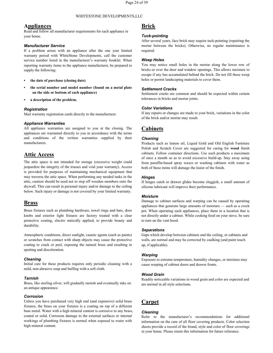#### **Appliances**

Read and follow all manufacturer requirements for each appliance in your home.

#### *Manufacturer Service*

If a problem arises with an appliance after the one year limited warranty period with WhiteStone Developments, call the customer service number listed in the manufacturer's warranty booklet. When reporting warranty items to the appliance manufacturer, be prepared to supply the following:

- **• the date of purchase (closing date)**
- **• the serial number and model number (found on a metal plate on the side or bottom of each appliance)**
- **• a description of the problem.**

#### *Registration*

Mail warranty registration cards directly to the manufacturer.

#### *Appliance Warranties*

All appliance warranties are assigned to you at the closing. The appliances are warranted directly to you in accordance with the terms and conditions of the written warranties supplied by their manufacturers.

# **Attic Access**

The attic space is not intended for storage (excessive weight could jeopardize the integrity of the trusses and void your warranty). Access is provided for purposes of maintaining mechanical equipment that may traverse the attic space. When performing any needed tasks in the attic, caution should be used not to step off wooden members onto the drywall. This can result in personal injury and/or damage to the ceiling below. Such injury or damage is not covered by your limited warranty.

### **Brass**

Brass fixtures such as plumbing hardware, towel rings and bars, door knobs and exterior light fixtures are factory treated with a clear protective coating, electro statically applied, to provide beauty and durability.

Atmospheric conditions, direct sunlight, caustic agents (such as paints) or scratches from contact with sharp objects may cause the protective coating to crack or peel, exposing the natural brass and resulting in spotting and discoloration.

#### *Cleaning*

Initial care for these products requires only periodic cleaning with a mild, non-abrasive soap and buffing with a soft cloth.

#### *Tarnish*

Brass, like sterling silver, will gradually tarnish and eventually take on an antique appearance.

#### *Corrosion*

<span id="page-24-0"></span>Unless you have purchased very high end (and expensive) solid brass fixtures, the brass on your fixtures is a coating on top of a different base metal. Water with a high mineral content is corrosive to any brass, coated or solid. Corrosion damage to the external surfaces or internal workings of plumbing fixtures is normal when exposed to water with high mineral content.

# **Brick**

#### *Tuck-pointing*

After several years, face brick may require tuck-pointing (repairing the mortar between the bricks). Otherwise, no regular maintenance is required.

#### *Weep Holes*

You may notice small holes in the mortar along the lower row of bricks or over the door and window openings. This allows moisture to escape if any has accumulated behind the brick. Do not fill these weep holes or permit landscaping materials to cover them.

#### *Settlement Cracks*

Settlement cracks are common and should be expected within certain tolerances in bricks and mortar joints.

#### *Color Variations*

If any repairs or changes are made to your brick, variations in the color of the brick and/or mortar may result.

# **Cabinets**

#### *Cleaning*

Products such as lemon oil, Liquid Gold and Old English Furniture Polish and Scratch Cover are suggested for caring for **wood** finish cabinets. Follow container directions. Use such products a maximum of once a month so as to avoid excessive build-up. Stay away using from paraffin-based spray waxes or washing cabinets with water as both of these items will damage the luster of the finish.

#### *Hinges*

If hinges catch or drawer glides become sluggish, a small amount of silicone lubricant will improve their performance.

#### *Moisture*

Damage to cabinet surfaces and warping can be caused by operating appliances that generate large amounts of moisture  $-$  such as a crock pot. When operating such appliances, place them in a location that is not directly under a cabinet. While cooking food on your stove, be sure to turn on the vent hood.

#### *Separations*

Gaps which develop between cabinets and the ceiling, or cabinets and walls, are normal and may be corrected by caulking (and paint touch up, if applicable).

#### *Warping*

Exposure to extreme temperature, humidity changes, or moisture may cause warping of cabinet doors and drawer fronts.

#### *Wood Grain*

Readily noticeable variations in wood grain and color are expected and are normal in all style selections.

# **Carpet**

#### *Cleaning*

Refer to the manufacturer's recommendations for additional information on the care of all floor covering products. Color selection sheets provide a record of the brand, style and color of floor coverings in your home. Please retain this information for future reference.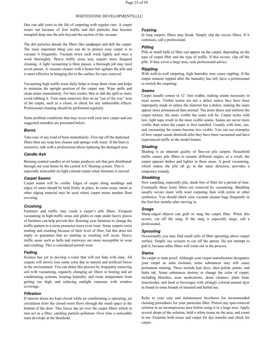One can add years to the life of carpeting with regular care. A carpet wears out because of foot traffic and dirt particles that become trampled deep into the pile beyond the suction of the vacuum.The dirt particles abrade the fibers like sandpaper and dull the carpet.

The most important thing you can do to protect your carpet is to vacuum it frequently. Vacuum twice each week lightly and once a week thoroughly. Heavy traffic areas may require more frequent cleaning. A light vacuuming is three passes; a thorough job may need seven passes. A vacuum cleaner with a beater-bar agitates the pile and is more effective in bringing dirt to the surface for easy removal.

Vacuuming high traffic areas daily helps to keep them clean and helps to maintain the upright position of the carpet nap. Wipe spills and clean stains immediately. For best results, blot or dab the spill or stain; avoid rubbing it. Tests stain removers first on an "out of the way" area of the carpet, such as a closet, to check for any undesirable effects. Professional cleaning should be performed regularly.

Some problem conditions that may occur with your new carpet and our suggested remedies are presented below:

#### *Burns*

Take care of any kind of burn immediately. First nip off the darkened fibers then use soap less cleaner and sponge with water. If the burn is extensive, talk with a professional about replacing the damaged area.

#### *Candle Ash*

Burning scented candles or oil lamps produces ash that gets distributed through out your home by the central A/C Heating system. This is especially noticeable on light colored carpet when furniture is moved.

#### *Carpet Seams*

Carpet seams will be visible. Edges of carpet along moldings and edges of stairs should be held firmly in place. In some areas, metal or other edging material may be used where carpet meets another floor covering.

#### *Crushing*

Furniture and traffic may crush a carpet's pile fibers. Frequent vacuuming in high-traffic areas and glides or cups under heavy pieces of furniture can help prevent this. Rotating your furniture to change the traffic pattern in a room promotes more even wear. Some carpets resist matting and crushing because of their level of fiber, but this does not imply or guarantee that no matting or crushing will occur. Heavy traffic areas such as halls and stairways are more susceptible to wear and crushing. This is considered normal wear.

#### *Fading*

Science has yet to develop a color that will not fade with time. All carpets will slowly lose some color due to natural and artificial forces in the environment. You can delay this process by frequently removing soil with vacuuming, regularly changing air filters in heating and air conditioning systems, keeping humidity and room temperature from getting too high, and reducing sunlight exposure with window coverings.

#### *Filtration*

If interior doors are kept closed while air conditioning is operating, air circulation from the closed room flows through the small space at the bottom of the door. This forces the air over the carpet fibers which in turn act as a filter, catching particle pollution. Over time a noticeable stain develops at the threshold.

#### *Fuzzing*

In loop carpets, fibers may break. Simply clip the excess fibers. If it continues, call a professional.

#### *Pilling*

Pills or small balls of fiber can appear on the carpet, depending on the type of carpet fiber and the type of traffic. If this occurs, clip off the pills. If they cover a large area, seek professional advice.

#### *Rippling*

With wall-to-wall carpeting, high humidity may cause rippling. If the carpet remains rippled after the humidity has left, have a professional re-stretch the carpeting.

#### *Seams*

Carpet usually comes in 12' foot widths, making seams necessary in most rooms. Visible seams are not a defect unless they have been improperly made or unless the material has a defect, making the seam appear more pronounced than normal. The more dense and uniform the carpet texture, the more visible the seam will be. Carpet styles with low, tight naps result in the most visible seams. Seams are never more visible than when the carpet is first installed. Usually with time, use, and vacuuming the seams become less visible. You can see examples of how carpet seams diminish after they have been vacuumed and have experienced traffic in the model homes.

#### *Shading*

Shading is an inherent quality of fine-cut pile carpets. Household traffic causes pile fibers to assume different angles; as a result, the carpet appears darker and lighter in these areas. A good vacuuming, which makes the pile all go in the same direction, provides a temporary remedy.

#### *Shedding*

New carpeting, especially pile, sheds bits of fiber for a period of time. Eventually these loose fibers are removed by vacuuming. Shedding usually occurs more with wool carpeting than with nylon or other synthetics. You should check your vacuum cleaner bags frequently in the first few months after moving in.

#### *Snags*

Sharp-edged objects can grab or snag the carpet fiber. When this occurs, cut off the snag. If the snag is especially large, call a professional.

#### *Sprouting*

Occasionally you may find small tufts of fiber sprouting above carpet surface. Simply use scissors to cut off the sprout. Do not attempt to pull it, because other fibers will come out in the process.

#### *Stains*

No carpet is stain proof. Although your carpet manufacturer designates your carpet as stain resistant, some substances may still cause permanent staining. These include hair dyes, shoe polish, paints, and India ink. Some substances destroy or change the color of carpet, including bleaches, acne medications, drain cleaners, plant food, insecticides, and food or beverages with strongly colored natural dyes as found in some brands of mustard and herbal tea.

Refer to your care and maintenance brochures for recommended cleaning procedures for your particular fiber. Pretest any spot-removal solution in an inconspicuous area before using it in a large area. Apply several drops of the solution, hold a white tissue on the area, and count to ten. Examine both tissue and carpet for dye transfer and check for carpet.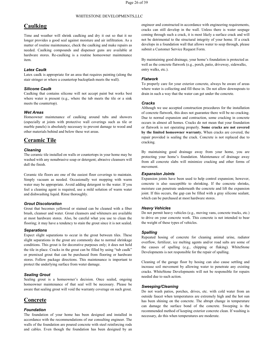## **Caulking**

Time and weather will shrink caulking and dry it out so that it no longer provides a good seal against moisture and air infiltration. As a matter of routine maintenance, check the caulking and make repairs as needed. Caulking compounds and dispenser guns are available at hardware stores. Re-caulking is a routine homeowner maintenance item.

#### *Latex Caulk*

Latex caulk is appropriate for an area that requires painting (along the stair stringer or where a countertop backsplash meets the wall).

#### *Silicone Caulk*

Caulking that contains silicone will not accept paint but works best where water is present (e.g., where the tub meets the tile or a sink meets the countertop).

#### *Wet Areas*

Homeowner maintenance of caulking around tubs and showers (especially at joints with protective wall coverings such as tile or marble panels) is absolutely necessary to prevent damage to wood and other materials behind and below these wet areas.

### **Ceramic Tile**

#### *Cleaning*

The ceramic tile installed on walls or countertops in your home may be washed with any nonabrasive soap or detergent; abrasive cleansers will dull the finish.

Ceramic tile floors are one of the easiest floor coverings to maintain. Simply vacuum as needed. Occasionally wet mopping with warm Expansion joints have been used to help control expansion; however, water may be appropriate. Avoid adding detergent to the water If you concrete is also suscepti water may be appropriate. Avoid adding detergent to the water. If you feel a cleaning agent is required, use a mild solution of warm water and dishwashing liquid. Rinse thoroughly.

*Grout Discoloration* brush, cleanser and water. Grout cleansers and whiteners are available at most hardware stores. Also, be careful what you use to clean the flooring; it may have a tendency to stain the grout since it is not sealed.

#### *Separations*

Expect slight separations to occur in the grout between tiles. These slight separations in the grout are commonly due to normal shrinkage conditions. This grout is for decorative purposes only; it does not hold the tile in place. Cracks in the grout can be filled by using "tub caulk" or premixed grout that can be purchased from flooring or hardware stores. Follow package directions. This maintenance is important to protect the underlying surface from water damage.

#### *Sealing Grout*

Sealing grout is a homeowner's decision. Once sealed, ongoing homeowner maintenance of that seal will be necessary. Please be aware that sealing grout will void the warranty coverage on such grout.

## **Concrete**

#### *Foundation*

The foundation of your home has been designed and installed in accordance with the recommendations of our consulting engineer. The walls of the foundation are poured concrete with steel reinforcing rods and cables. Even though the foundation has been designed by an

engineer and constructed in accordance with engineering requirements, cracks can still develop in the wall. Unless there is water seepage coming through such a crack, it is most likely a surface crack and will not be detrimental to the structural integrity of your home. If a crack develops in a foundation wall that allows water to seep through, please submit a Customer Service Request Form.

By maintaining good drainage, your home's foundation is protected as well as the concrete flatwork (e.g., porch, patio, driveway, sidewalks, entry walks, etc.).

#### *Flatwork*

To properly care for your exterior concrete, always be aware of areas where water is collecting and fill these in. Do not allow downspouts to drain in such a way that the water can get under the concrete.

#### *Cracks*

Although we use accepted construction procedures for the installation of concrete flatwork, this does not guarantee there will be no cracking. Due to normal expansion and contraction, some cracking in concrete occurs in almost all homes. Cracks do not mean that your foundation or flatwork is not operating properly. **Some cracks are not covered by the limited homeowner warranty.** When cracks are covered, the repair provided is sealing the crack. Concrete is not replaced due to cracking.

By maintaining good drainage away from your home, you are protecting your home's foundation. Maintenance of drainage away from all concrete slabs will minimize cracking and other forms of movement.

#### *Expansion Joints*

Expansion joints have been used to help control expansion; however, moisture can penetrate underneath the concrete and lift the expansion joint. If this occurs, the gap can be filled with a gray silicone sealant, which can be purchased at most hardware stores.

#### *Heavy Vehicles*

Do not permit heavy vehicles (e.g., moving vans, concrete trucks, etc.) to drive on your concrete work. This concrete is not intended to bear the weight of these types of vehicles.

#### *Spalling*

Repeated hosing of concrete for cleaning animal urine, radiator overflow, fertilizer, ice melting agents and/or road salts are some of the causes of spalling (e.g., chipping or flaking). WhiteStone Developments is not responsible for the repair of spalling.

Cleaning of the garage floor by hosing can also cause settling and increase soil movement by allowing water to penetrate any existing cracks. WhiteStone Developments will not be responsible for repairs needed due to such action.

#### *Sweeping/Cleaning*

Do not wash patios, porches, drives, etc. with cold water from an outside faucet when temperatures are extremely high and the hot sun has been shining on the concrete. The abrupt change in temperature can damage the surface bond of the concrete. Sweeping is the recommended method of keeping exterior concrete clean. If washing is necessary, do this when temperatures are moderate.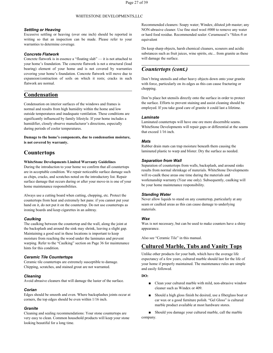#### *Settling or Heaving*

Excessive settling or heaving (over one inch) should be reported in writing so that an inspection can be made. Please refer to your warranties to determine coverage.

#### *Concrete Flatwork*

Concrete flatwork is in essence a "floating slab" — it is not attached to will damage the surface. your home's foundation. The concrete flatwork is not a structural (load bearing) element of your home and is not covered by warranties covering your home's foundation. Concrete flatwork will move due to expansion/contraction of soils on which it rests; cracks in such flatwork are normal.

# **Condensation**

Condensation on interior surfaces of the windows and frames is normal and results from high humidity within the home and low outside temperatures and inadequate ventilation. These conditions are significantly influenced by family lifestyle. If your home includes a humidifier, closely observe manufacturer's directions, especially during periods of cooler temperatures.

**Damage to the home's components, due to condensation moisture, is not covered by warranty.**

## **Countertops**

#### **WhiteStone Developments Limited Warranty Guidelines**

During the introduction to your home we confirm that all countertops are in acceptable condition. We repair noticeable surface damage such as chips, cracks, and scratches noted on the introductory list. Repair surface damage that occurs during or after your move-in is one of your home maintenance responsibilities.

Always use a cutting board when cutting, chopping, etc. Protect the countertops from heat and extremely hot pans: if you cannot put your hand on it, do not put it on the countertop. Do not use countertops as ironing boards and keep cigarettes in an ashtray.

#### *Caulking*

The caulking between the countertop and the wall, along the joint at the backsplash and around the sink may shrink, leaving a slight gap. Maintaining a good seal in these locations is important to keep moisture from reaching the wood under the laminates and prevent warping. Refer to the "Caulking" section on Page 36 for maintenance hints for this condition.

#### *Ceramic Tile Countertops*

Ceramic tile countertops are extremely susceptible to damage. Chipping, scratches, and stained grout are not warranted.

#### *Cleaning*

Avoid abrasive cleaners that will damage the luster of the surface.

#### *Corian*

Edges should be smooth and even. Where backsplashes joints occur at corners, the top edges should be even within 1/16 inch.

#### *Granite*

Cleaning and sealing recommendations: Your stone countertops are very easy to clean. Common household products will keep your stone looking beautiful for a long time.

Recommended cleaners: Soapy water; Windex; diluted job master; any NON-abrasive cleaner. Use fine steel wool #000 to remove any water or hard food residue. Recommended sealer: Ceramuseal's "Silox-8 or equivalent

Do keep sharp objects, harsh chemical cleaners, scourers and acidic substances such as fruit juices, wine spirits, etc... from granite as these

# *Countertops (cont.)*

Don't bring utensils and other heavy objects down onto your granite with force, particularly on its edges as this can cause fracturing or chopping.

Don'ts place hot utensils directly onto the surface in order to protect the surface. Efforts to prevent staining and assist cleaning should be employed. If you take good care of granite it could last a lifetime.

#### *Laminate*

Laminated countertops will have one ore more discernible seams. WhiteStone Developments will repair gaps or differential at the seams that exceed 1/16 inch.

#### *Mats*

Rubber drain mats can trap moisture beneath them causing the laminated plastic to warp and blister. Dry the surface as needed.

#### *Separation from Wall*

Separation of countertops from walls, backsplash, and around sinks results from normal shrinkage of materials. WhiteStone Developments will re-caulk these areas one time during the materials and workmanship warranty (Year one only). Subsequently, caulking will be your home maintenance responsibility.

#### *Standing Water*

Never allow liquids to stand on any countertop, particularly at any seam or caulked areas as this can cause damage to underlying materials.

#### *Wax*

Wax is not necessary, but can be used to make counters have a shiny appearance.

Also see "Ceramic Tile" in this manual.

# **Cultured Marble, Tubs and Vanity Tops**

Unlike other products for your bath, which have the average life expectancy of a few years, cultured marble should last for the life of your home if properly maintained. The maintenance rules are simple and easily followed.

#### **DO:**

- Clean your cultured marble with mild, non-abrasive window cleaner such as Windex or 409.
- Should a high gloss finish be desired, use a fiberglass boat or car wax or a good furniture polish. "Gel Gloss" is cultured marble product available at most hardware stores.

■ Should you damage your cultured marble, call the marble company.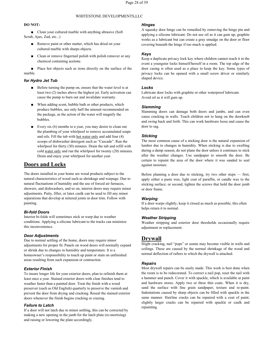#### **DO NOT:**

■ Clean your cultured marble with anything abrasive (Soft Scrub, Ajax, Zud, etc...)

- Remove paint or other matter, which has dried on your cultured marble with sharps objects.
- Clean or remove fingernail polish with polish remover or any chemical containing acetone.

■ Place hot objects such as irons directly on the surface of the marble.

#### *for Hydro Jet Tub*

- Before turning the pump on, ensure that the water level is at least two (2) inches above the highest jet. Early activation can cause the pump to burn out and invalidate warranty.
- When adding scent, bubble bath or other products, which produce bubbles, use only half the amount recommended on the package, as the action of the water will magnify the bubbles.
- Every six (6) months to a year, you may desire to clean out the plumbing of your whirlpool to remove accumulated soaps and oils. Fill the tub with hot water only and add four (4) scoops of dishwasher detergent such as "Cascade". Run the whirlpool for thirty (30) minutes. Drain the tub and refill with cold water only and run the whirlpool for twenty (20) minutes. Drain and enjoy your whirlpool for another year.

# **Doors and Locks**

The doors installed in your home are wood products subject to the natural characteristics of wood such as shrinkage and warpage. Due to natural fluctuations of humidity and the use of forced air furnaces, showers, and dishwashers, and so on, interior doors may require minor adjustments. Putty, filler, or latex caulk can be used to fill any minor separations that develop at mitered joints in door trim. Follow with painting.

#### *Bi-fold Doors*

Interior bi-folds will sometimes stick or warp due to weather conditions. Applying a silicone lubricant to the tracks can minimize this inconvenience.

#### *Door Adjustments*

Due to normal settling of the home, doors may require minor adjustments for proper fit. Panels on wood doors will normally expand or shrink due to changes in humidity and temperature. It is a homeowner's responsibility to touch up paint or stain on unfinished areas resulting from such expansion or contraction.

#### *Exterior Finish*

least once a year. Stained exterior doors with clear finishes tend to weather faster than a painted door. Treat the finish with a wood preserver (such as Old English) quarterly to preserve the varnish and prevent the door from drying and cracking. Reseal the stained exterior doors whenever the finish begins cracking or crazing.

#### *Failure to Latch*

If a doorwill not latch due to minor settling, this can be corrected by making a new opening in the jamb for the latch plate (re-mortising) and raising or lowering the plate accordingly.

#### *Hinges*

A squeaky door hinge can be remedied by removing the hinge pin and applying a silicone lubricant. Do not use oil as it can gum up; graphite works as a lubricant but can create a gray smudge on the door or floor covering beneath the hinge if too much is applied.

#### *Keys*

Keep a duplicate privacy lock key where children cannot reach it in the event a youngster locks himself/herself in a room. The top edge of the door casing is often used as a place to keep the key. Some types of privacy locks can be opened with a small screw driver or similarly shaped device.

#### *Locks*

Lubricate door locks with graphite or other waterproof lubricant. Avoid oil as it will gum up.

#### *Slamming*

Slamming doors can damage both doors and jambs, and can even cause cracking in walls. Teach children not to hang on the doorknob and swing back and forth. This can work hardware loose and cause the door to sag.

#### *Sticking*

The most common cause of a sticking door is the natural expansion of lumber due to changes in humidity. When sticking is due to swelling during a damp season, do not plane the door unless it continues to stick after the weather changes. Use sandpaper to smooth the door. Be certain to repaint the area of the door where it was sanded to seal against moisture.

Before planning a door due to sticking, try two other steps - first, apply either a paste wax, light coat of paraffin, or candle wax to the sticking surface; or second, tighten the screws that hold the door jamb or door frame.

#### *Warping*

If a door warps slightly, keep it closed as much as possible; this often helps return it to normal.

#### *Weather Stripping*

Weather stripping and exterior door thresholds occasionally require adjustment or replacement.

#### **Drywall**

Slight cracking, nail "pops" or seams may become visible in walls and ceilings. These are caused by the normal shrinkage of the wood and normal deflection of rafters to which the drywall is attached.

#### *Repairs*

To insure longer life for your exterior doors, plan to refinish them at the room is to be redecorated. To correct a nail pop, reset the nail with least once a vear. Stained exterior doors with clear finishes tend to a hamm Most drywall repairs can be easily made. This work is best done when the room is to be redecorated. To correct a nail pop, reset the nail with and hardware stores. Apply two or three thin coats. When it is dry, sand the surface with fine grain sandpaper, texture and re-paint. Indentations caused by sharp objects can be filled with spackle in the same manner. Hairline cracks can be repaired with a coat of paint; slightly larger cracks can be repaired with spackle or caulk and repainting.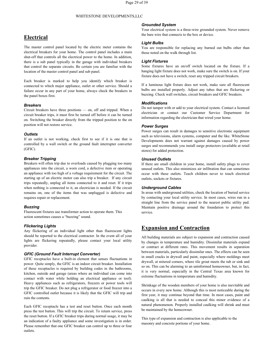## **Electrical**

The master control panel located by the electric meter contains the electrical breakers for your home. The control panel includes a main shut-off that controls all the electrical power to the home. In addition, there is a sub panel typically in the garage with individual breakers that control the separate circuits. Be certain you are familiar with the location of the master control panel and sub panel.

Each breaker is marked to help you identify which breaker is connected to which major appliance, outlet or other service. Should a failure occur in any part of your home, always check the breakers in the panel boxes first.

#### *Breakers*

Circuit breakers have three positions — on, off and tripped. When a circuit breaker trips, it must first be turned off before it can be turned on. Switching the breaker directly from the tripped position to the on position will not restore service.

#### *Outlets*

If an outlet is not working, check first to see if it is one that is controlled by a wall switch or the ground fault interrupter converter (GFIC).

#### *Breaker Tripping*

Breakers will often trip due to overloads caused by plugging too many appliances into the circuit, a worn cord, a defective item or operating an appliance with too high of a voltage requirement for the circuit. The starting up of an electric motor can also trip a breaker. If any circuit trips repeatedly, unplug all items connected to it and reset. If it trips when nothing is connected to it, an electrician is needed. If the circuit remains on, one of the items that was unplugged is defective and requires repair or replacement.

#### *Buzzing*

Fluorescent fixtures use transformer action to operate them. This action sometimes causes a "buzzing" sound.

#### *Flickering Lights*

Any flickering of an individual light other than fluorescent lights should be reported to the electrical contractor. In the event all of your lights are flickering repeatedly, please contact your local utility provider.

#### *GFIC (Ground Fault Interrupt Converter)*

GFIC receptacles have a built-in element that senses fluctuations in power. Quite simply, the GFIC is an indoor circuit breaker. Installation of these receptacles is required by building codes in the bathrooms, kitchen, outside and garage (areas where an individual can come into contact with water while holding an electrical appliance or tool). Heavy appliances such as refrigerators, freezers or power tools will trip the GFIC breaker. Do not plug a refrigerator or food freezer into a GFIC controlled outlet because it is likely that the GFIC will trip and ruin the contents.

Each GFIC receptacle has a test and reset button. Once each month press the test button. This will trip the circuit. To return service, press the reset button. If a GFIC breaker trips during normal usage, it may be an indication of a faulty appliance and some investigation is in order.<br>Please remember that one GFIC breaker can control up to three or four outlets.

#### *Grounded System*

Your electrical system is a three-wire grounded system. Never remove the bare wire that connects to the box or device.

#### *Light Bulbs*

You are responsible for replacing any burned out bulbs other than those noted on the walk through list.

#### *Light Fixtures*

Some fixtures have an on/off switch located on the fixture. If a hanging light fixture does not work, make sure the switch is on. If your fixture does not have a switch, reset any tripped circuit breakers.

If a luminous light fixture does not work, make sure all fluorescent bulbs are installed properly. Adjust any tubes that are flickering or buzzing. Check wall switches, circuit breakers and GFIC breakers.

#### *Modifications*

Do not tamper with or add to your electrical system. Contact a licensed electrician or contact our Customer Service Department for information regarding the electrician that wired your home.

#### *Power Surges*

Power surges can result in damages to sensitive electronic equipment such as televisions, alarm systems, computer and the like. WhiteStone Developments does not warrant against damages caused by power surges and recommends you install surge protectors (available at retail stores) for added protection.

#### *Unused Outlets*

If there are small children in your home, install safety plugs to cover unused outlets. This also minimizes air infiltration that can sometimes occur with these outlets. Teach children never to touch electrical outlets, sockets or fixtures.

#### *Underground Cables*

In areas with underground utilities, check the location of buried service by contacting your local utility service. In most cases, wires run in a straight line from the service panel to the nearest public utility pad. Maintain positive drainage around the foundation to protect this service.

# **Expansion and Contraction**

All building materials are subject to expansion and contraction caused by changes in temperature and humidity. Dissimilar materials expand or contract at different rates. This movement results in separation between materials, particularly dissimilar ones. The effects can be seen in small cracks in drywall and paint, especially where moldings meet drywall, at mitered corners, where tile grout meets the tub or sink and so on. This can be alarming to an uninformed homeowner, but, in fact, it is very normal, especially in the Central Texas area known for extreme fluctuations in temperature and humidity.

Shrinkage of the wooden members of your home is also inevitable and occurs in every new home.Although this is most noticeable during the first year, it may continue beyond that time. In most cases, paint and caulking is all that is needed to conceal this minor evidence of a natural phenomenon. Properly installed caulking will shrink and must be maintained by the homeowner.

This type of expansion and contraction is also applicable to the masonry and concrete portions of your home.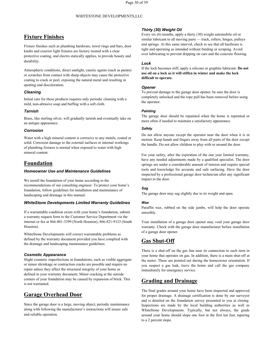# <span id="page-30-0"></span>**Fixture Finishes**

Fixture finishes such as plumbing hardware, towel rings and bars, door knobs and exterior light fixtures are factory treated with a clear protective coating, and electro statically applies, to provide beauty and durability.

Atmospheric conditions, direct sunlight, caustic agents (such as paints) or scratches from contact with sharp objects may cause the protective coating to crack or peel, exposing the natural metal and resulting in spotting and discoloration.

#### *Cleaning*

Initial care for these products requires only periodic cleaning with a mild, non-abrasive soap and buffing with a soft cloth.

#### *Tarnish*

Brass, like sterling silver, will gradually tarnish and eventually take on an antique appearance.

#### *Corrosion*

Water with a high mineral content is corrosive to any metals, coated or solid. Corrosion damage to the external surfaces or internal workings of plumbing fixtures is normal when exposed to water with high mineral content.

# **Foundation**

#### *Homeowner Use and Maintenance Guidelines*

We install the foundation of your home according to the recommendations of our consulting engineer. To protect your home's foundation, follow guidelines for installation and maintenance of landscaping and drainage in this manual.

#### *WhiteStone Developments Limited Warranty Guidelines*

If a warrantable condition exists with your home's foundation, submit a warranty request form to the Customer Service Department via the internet or fax at 866-801-3399 (North Houston), 866-821-9123 (South Houston).

WhiteStone Developments will correct warrantable problems as defined by the warranty document provided you have complied with the drainage and landscaping maintenance guidelines.

#### *Cosmetic Appearance*

Slight cosmetic imperfections in foundations, such as visible aggregate or minor shrinkage or contraction cracks are possible and require no repair unless they affect the structural integrity of your home as defined in your warranty document. Minor cracking at the outside corners of your foundation may be caused by expansion of brick. This is not warranted.

# <span id="page-30-1"></span>**Garage Overhead Door**

Since the garage door is a large, moving object, periodic maintenance along with following the manufacturer's instructions will insure safe and reliable operation.

#### *Thirty (30) Weight Oil*

Every six (6) months, apply a thirty (30) weight automobile oil or similar lubricant to all moving parts — track, rollers, hinges, pulleys and springs. At this same interval, check to see that all hardware is tight and operating as intended without binding or scraping. Avoid over lubricating to prevent dripping on cars and the concrete flooring.

#### *Lock*

If the lock becomes stiff, apply a silicone or graphite lubricant. **Do not use oil on a lock as it will stiffen in winter and make the lock difficult to operate.**

#### *Opener*

To prevent damage to the garage door opener, be sure the door is completely unlocked and the rope pull has been removed before using the operator.

#### *Painting*

The garage door should be repainted when the home is repainted or more often if needed to maintain a satisfactory appearance.

#### *Safety*

Do not allow anyone except the operator near the door when it is in motion. Keep hands and fingers away from all parts of the door except the handle. Do not allow children to play with or around the door.

For your safety, after the expiration of the one year limited warranty, have any needed adjustments made by a qualified specialist. The door springs are under a considerable amount of tension and require special tools and knowledge for accurate and safe surfacing. Have the door inspected by a professional garage door technician after any significant impact to the door.

#### *Sag*

The garage door may sag slightly due to its weight and span.

#### *Wax*

Paraffin wax, rubbed on the side jambs, will help the door operate smoothly.

Your installation of a garage door opener may void your garage door warranty. Check with the garage door manufacturer before installation of a garage door opener.

# **Gas Shut-Off**

There is a shut-off on the gas line near its connection to each item in your home that operates on gas. In addition, there is a main shut-off at the meter. These are pointed out during the homeowner orientation. If you suspect a gas leak, leave the home and call the gas company immediately for emergency service.

# **Grading and Drainage**

The final grades around your home have been inspected and approved for proper drainage. A drainage certification is done by our surveyor and is detailed on the foundation survey presented to you at closing. Inspections are made by the local building authorities as well as WhiteStone Developments. Typically, but not always, the grade around your home should slope one foot in the first ten feet, tapering to a 2 percent slope.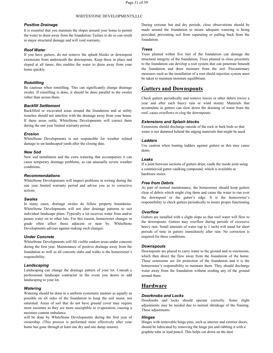#### *Positive Drainage*

It is essential that you maintain the slopes around your home to permit the water to drain away from the foundation. Failure to do so can result in major structural damage and will void warranty.

#### *Roof Water*

If you have gutters, do not remove the splash blocks or downspout extensions from underneath the downspouts. Keep these in place and sloped at all times; this enables the water to drain away from your home quickly.

#### *Rototilling*

Be cautious when rototilling. This can significantly change drainage swales. If rototilling is done, it should be done parallel to the swales rather than across them.

#### *Backfill Settlement*

Backfilled or excavated areas around the foundation and at utility trenches should not interfere with the drainage away from your home. If these areas settle, WhiteStone Developments will correct them during the one year limited warranty period.

#### *Erosion*

WhiteStone Developments is not responsible for weather related damage to un-landscaped yards after the closing date.

#### *New Sod*

New sod installation and the extra watering that accompanies it can cause temporary drainage problems, as can unusually severe weather conditions.

#### *Recommendations*

WhiteStone Developments will inspect problems in writing during the one year limited warranty period and advise you as to corrective actions.

#### *Swales*

In many cases, drainage swales do follow property boundaries. WhiteStone Developments will not alter drainage patterns to suit individual landscape plans. Typically a lot receives water from and/or passes water on to other lots. For this reason, homeowner changes in grade often affect those adjacent or near by. WhiteStone Developments advises against making such changes.

#### *Under Concrete*

WhiteStone Developments will fill visible sunken areas under concrete during the first year. Maintenance of positive drainage away from the foundation as well as all concrete slabs and walks is the homeowner's responsibility.

#### *Landscaping*

Landscaping can change the drainage pattern of your lot. Consult a professional landscape contractor in the event you desire to add landscaping to your lot.

#### *Watering*

Watering should be done in a uniform systematic manner as equally as possible on all sides of the foundation to keep the soil moist, not<br>Doorknobs and locks should operate correctly. Some slight saturated. Areas of soil that do not have ground cover may require more moisture as they are more susceptible to evaporation, causing a moisture content imbalance.

will be done by WhiteStone Developments during the first year of **Hinges** ownership. (This process is performed most effectively after your will be done by WhiteStone Developments during the first year of **Hinges**<br>ownership. (This process is performed most effectively after your **Hinges with removable hinge pins**, s<br>home has gone through at least one dry and o

During extreme hot and dry periods, close observations should be made around the foundation to insure adequate watering is being provided, preventing soil from separating or pulling back from the foundation.

#### *Trees*

Trees planted within five feet of the foundation can damage the structural integrity of the foundation. Trees planted in close proximity to the foundation can develop a root system that can penetrate beneath the foundation and draw moisture from the soil. Precautionary measures such as the installation of a root shield injection system must be taken to maintain moisture equilibrium.

# **Gutters and Downspouts**

Check gutters periodically and remove leaves or other debris (twice a year and after each heavy rain or wind storm). Materials that accumulate in gutters can slow down the draining of water from the roof, cause overflows or clog the downspouts.

#### *Extensions and Splash blocks*

Extensions should discharge outside of the rock or bark beds so that water is not dammed behind the edging materials that might be used.

#### *Ladders*

Use caution when leaning ladders against gutters as this may cause dents.

#### *Leaks*

If a joint between sections of gutters drips, caulk the inside joint using a commercial gutter caulking compound, which is available at hardware stores.

#### *Free from Debris*

As part of normal maintenance, the homeowner should keep gutters clear of debris which might clog them and cause the water to run over the downspout or the gutter's edge. It is the homeowner's responsibility to check gutters periodically to insure proper functioning.

#### *Overflow*

Gutters are installed with a slight slope so that roof water will flow to the downspouts. Gutters may overflow during periods of excessive heavy rain. Small amounts of water (up to 1 inch) will stand for short periods of time in gutters immediately after rain. No correction is required for these conditions.

#### *Downspouts*

which then direct the flow away from the foundation of the home. These extensions are for protection of the foundation and it is the homeowner's responsibility to maintain them. They should discharge water away from the foundation without eroding any of the ground around them.

## **Hardware**

#### *Doorknobs and Locks*

adjustments may be needed due to normal shrinkage of the framing. These adjustments

Hinges with removable hinge pins, such as interior and exterior doors, should be lubricated by removing the hinge pin and rubbing itwith a graphite tube or lead pencil. This helps cut down on the dust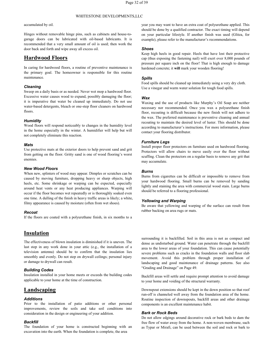accumulated by oil.

Hinges without removable hinge pins, such as cabinets and house-to garage doors can be lubricated with oil-based lubricants. It is recommended that a very small amount of oil is used; then work the door back and forth and wipe away all excess oil.

## **Hardwood Floors**

In caring for hardwood floors, a routine of preventive maintenance is the primary goal. The homeowner is responsible for this routine maintenance.

#### *Cleaning*

Sweep on a daily basis or as needed. Never wet mop a hardwood floor. Excessive water causes wood to expand, possibly damaging the floor; it is imperative that water be cleaned up immediately. Do not use water-based detergents, bleach or one-step floor cleaners on hardwood floors.

#### *Humidity*

Wood floors will respond noticeably to changes in the humidity level in the home especially in the winter. A humidifier will help but will not completely eliminate this reaction.

#### *Mats*

Use protective mats at the exterior doors to help prevent sand and grit from getting on the floor. Gritty sand is one of wood flooring's worst enemies.

#### *New Wood Floors*

When new, splinters of wood may appear. Dimples or scratches can be caused by moving furniture, dropping heavy or sharp objects, high heels, etc. Some shrinkage or warping can be expected, especially around heat vents or any heat producing appliances. Warping will occur if the floor becomes wet repeatedly or is thoroughly soaked even one time. A dulling of the finish in heavy traffic areas is likely; a white, filmy appearance is caused by moisture (often from wet shoes).

#### *Recoat*

If the floors are coated with a polyurethane finish, in six months to a

## **Insulation**

The effectiveness of blown insulation is diminished if it is uneven. The last step in any work done in your attic (e.g., the installation of a television antenna) should be to confirm that the insulation lies smoothly and evenly. Do not step on drywall ceilings; personal injury or damage to drywall can result.

#### *Building Codes*

Insulation installed in your home meets or exceeds the building codes applicable to your home at the time of construction.

# **Landscaping**

#### *Additions*

Prior to the installation of patio additions or other personal improvements, review the soils and take soil conditions into consideration in the design or engineering of youraddition.

#### *Backfill*

The foundation of your home is constructed beginning with an excavation into the earth. When the foundation is complete, the area

year you may want to have an extra coat of polyurethane applied. This should be done by a qualified contractor. The exact timing will depend on your particular lifestyle. If another finish was used (Glitza, for example), please refer to the manufacturer's recommendations.

#### *Shoes*

Keep high heels in good repair. Heels that have lost their protective cap (thus exposing the fastening nail) will exert over 8,000 pounds of pressure per square inch on the floor! That is high enough to damage hardened concrete; it **will** mark your wooden flooring!

#### *Spills*

Food spills should be cleaned up immediately using a very dry cloth. Use a vinegar and warm water solution for tough food spills.

#### *Wax*

Waxing and the use of products like Murphy's Oil Soap are neither necessary nor recommended. Once you wax a polyurethane finish floor, recoating is difficult because the new finish will not adhere to the wax. The preferred maintenance is preventive cleaning and annual recoating to maintain the desired level of luster. This should be done according to manufacturer's instructions. For more information, please contact your flooring distributor.

#### *Furniture Legs*

Install proper floor protectors on furniture used on hardwood flooring. Protectors will allow chairs to move easily over the floor without scuffing. Clean the protectors on a regular basis to remove any grit that may accumulate.

#### *Burns*

Burns from cigarettes can be difficult or impossible to remove from your hardwood flooring. Small burns can be removed by sanding lightly and staining the area with commercial wood stain. Large burns should be referred to a flooring professional.

#### *Yellowing and Warping*

<span id="page-32-0"></span>Be aware that yellowing and warping of the surface can result from rubber backing on area rugs or mats.

surrounding it is backfilled. Soil in this area is not as compact and dense as undisturbed ground. Water can penetrate through the backfill area to the lower areas of your foundation. This can cause potentially severe problems such as cracks in the foundation walls and floor slab movement. Avoid this problem through proper installation of landscaping and good maintenance of drainage patterns. See also "Grading and Drainage" on Page 49.

Backfill areas will settle and require prompt attention to avoid damage to your home and voiding of the structural warranty.

Downspout extensions should be kept in the down position so that roof run-off is channeled well away from the foundation area of the home. Routine inspection of downspouts, backfill areas and other drainage components is an excellent maintenance habit.

#### *Bark or Rock Beds*

Do not allow edgings around decorative rock or bark beds to dam the free flow of water away from the home. A non-woven membrane, such as Typar or Mirafi, can be used between the soil and rock or bark to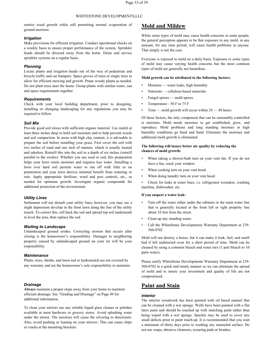restrict weed growth while still permitting normal evaporation of ground moisture.

#### *Irrigation*

Make provisions for efficient irrigation. Conduct operational checks on a weekly basis to ensure proper performance of the system. Sprinkler heads should be directed away from the home. Drain and service sprinkler systems on a regular basis.

#### *Planning*

Locate plants and irrigation heads out of the way of pedestrian and bicycle traffic and car bumpers. Space groves of trees or single trees to allow for efficient mowing and growth. Prune woody plants as needed. Do not plant trees near the home. Group plants with similar water, sun and space requirements together.

#### *Requirements*

Check with your local building department, prior to designing,installing or changing landscaping for any regulations you may be required to follow.

#### *Soil Mix*

Provide good soil mixes with sufficient organic material. Use mulch at least three inches deep to hold soil moisture and to help prevent weeds and soil compaction. In areas with high clay content, it is advisable to prepare the soil before installing your grass. First cover the soil with two inches of sand and one inch of manure, which is usually treated and odorless. Rototill this into the soil to a depth of six inches (rototill parallel to the swales).Whether you use seed or sod, this preparation helps your lawn retain moisture and requires less water. Installing a lawn over hard soil permits water to run off with little or no penetration and your lawn derives minimal benefit from watering or rain. Apply appropriate fertilizer, weed and pest controls, etc., as needed for optimum growth. Investigate organic compounds for additional protection of the environment.

#### *Utility Lines*

Settlement will not disturb your utility lines; however, you may see a slight depression develop in the front lawn along the line of the utility trench. To correct this, roll back the sod and spread top soil underneath to level the area, then replace the sod.

#### *Waiting to Landscape*

Unlandscaped ground erodes. Correcting erosion that occurs after closing is the homeowner's responsibility. Damages to neighboring property caused by unlandscaped ground on your lot will be your responsibility.

#### *Maintenance*

Plants, trees, shrubs, and lawn sod or hydromulch are not covered by any warranty and are the homeowner's sole responsibility to maintain.

#### *Drainage*

**Always** maintain a proper slope away from your home to maintain efficient drainage. See "Grading and Drainage" on Page 49 for additional information.

To clean your mirrors use any reliable liquid glass cleaner or polisher available at most hardware or grocery stores. Avoid splashing water under the mirror. The moisture will cause the silvering to deteriorate.Also, avoid pushing or leaning on your mirrors. This can cause chips or cracks at the mounting brackets.

### **Mold and Mildew**

While some types of mold may cause health concerns in some people, the general perception appears to be that exposure to any mold, in any amount, for any time period, will cause health problems in anyone. That simply is not the case.

Everyone is exposed to mold on a daily basis. Exposure to some types of mold may cause varying health concerns but the most common types of mold are generally not hazardous.

#### **Mold growth can be attributed tothe following factors:**

- Moisture water leaks, high humidity
- Nutrients cellulose-based materials
- Fungal spores mold spores
- Temperature 50 F to 75 F
- Time mold growth will occur within  $24 48$  hours

Of these factors, the only component that can be reasonably controlled is moisture. Mold needs moisture to get established, grow, and reproduce. Mold problems and long standing moisture or high humidity conditions go hand and hand. Eliminate the moisture and additional mold growth is eliminated.

#### **The following will insure better air quality by reducing the** chances of mold growth:

- When taking a shower/bath turn on your vent fan. If you do not have a fan, crack your window.
- When cooking turn on your vent hood.
- When doing laundry turn on your vent hood.

• Check for leaks at water lines, i.e. refrigerator icemaker, washing machine, dishwasher, etc.

#### **If you suspect a water leak:**

- Turn off the water either under the cabinets or the main water line that is generally located at the front left or right property line about 10 feet from the street.
- Clean up any standing water.
- Call the WhiteStone Developments Warranty Department at 239- 560-0702

Mold will not destroy a house, but it can make it look, feel, and smell bad if left undetected even for a short period of time. Mold can be cleaned by using a common bleach and water mix (1 part bleach to 10 parts water).

Please notify WhiteStone Developments Warranty Department at 239- 560-0702 in a quick and timely manner so we can eliminate the spread of mold and to insure your investment and quality of life are not compromised.

## **Paint and Stain**

#### *Interior*

The interior woodwork has been painted with oil based enamel that can be cleaned with a wet sponge. Walls have been painted with a flat latex paint and should be touched up with matching paint rather than being wiped with a wet sponge. Spackle may be used to cover any small defects prior to paint touch-up. It is recommended that you wait a minimum of thirty days prior to washing any enameled surface. Do not use soaps, abrasive cleansers, scouring pads or brushes.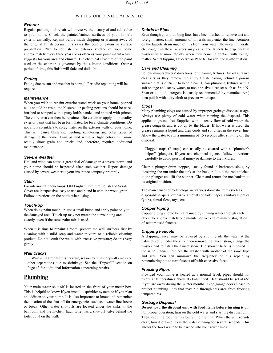#### *Exterior*

Regular painting and repair will preserve the beauty of and add value to your home. Check the painted/stained surfaces of your home's exterior annually. Repaint before much chipping or wearing away of the original finish occurs; this saves the cost of extensive surface preparation. Plan to refinish the exterior surface of your home approximately every three years or as often as your paint manufacturer suggests for your area and climate. The chemical structure of the paint used on the exterior is governed by the climatic conditions. Over a period of time, this finish will fade and dull a bit.

#### *Fading*

Fading due to sun and weather is normal. Periodic repainting will be required.

#### *Maintenance*

When you wish to repaint exterior wood work on your home, popped nails should be reset; the blistered or peeling portions should be wire brushed or scraped with a putty knife, sanded and spotted with primer. The entire area can then be repainted. Be certain to apply a top quality exterior paint that has been formulated for local climate conditions. Do not allow sprinklers to spray water on the exterior walls of your home. This will cause blistering, peeling, splintering and other types of damage to the home. Trim painted white or light colors will more readily show grain and cracks and, therefore, requires additional maintenance.

#### *Severe Weather*

Hail and wind can cause a great deal of damage in a severe storm, and your home should be inspected after such weather. Report damage caused by severe weather to your insurance company promptly.

#### *Stain*

For interior stain touch-ups, Old English Furniture Polish and Scratch Cover are inexpensive, easy to use and blend in with the wood grain. Follow directions on the bottle when using.

#### *Touch-Up*

When doing paint touch-up, use a small brush and apply paint only to the damaged area. Touch-up may not match the surrounding area exactly, even if the same paint mix is used.

When it is time to repaint a room, prepare the wall surfaces first by cleaning with a mild soap and water mixture or a reliable cleaning product. Do not scrub the walls with excessive pressure; do this very gently.

**Wall Cracks**<br>Wait until after the first heating season to repair drywall cracks or other separations due to shrinkage. See the "Drywall" section on Page 43 for additional information concerning repairs.

# **Plumbing**

Your main water shut-off is located in the front of your meter box. This is helpful to know if you install a sprinkler system or if you plan an addition to your home. It is also important to know and remember the location of the shut-off for emergencies such as a water line freeze or break. Other water shut-offs are located under the sinks in the bathroom and the kitchen. Each toilet has a shut-off valve behind the toilet bowl on the wall.

#### *Debris in Pipes*

Even though your plumbing lines have been flushed to remove dirt and foreign matter, small amounts of minerals may enter the line. Aerators on the faucets strain much of this from your water. However, minerals, etc. caught in these aerators may cause the faucets to drip because washers wear more rapidly when they come in contact with foreign matter. See "Dripping Faucets" on Page 61 for additional information.

#### *Care and Cleaning*

Follow manufacturers' directions for cleaning fixtures. Avoid abrasive cleansers as they remove the shiny finish leaving behind a porous surface that is difficult to keep clean. Clean plumbing fixtures with a soft sponge and soapy water, (a non-abrasive cleanser such as Spic-N- Span or a liquid detergent is usually recommended by manufacturers) then polish with a dry cloth to prevent water spots.

#### *Clogs*

Many plumbing clogs are caused by improper garbage disposal usage. Always use plenty of cold water when running the disposal. This applies to grease also. Supplied with a steady flow of cold water, the grease congeals and is cut up by the blades.If hot water is used, the grease remains a liquid and then cools and solidifies in the sewer line. Allow the water to run a minimum of 15 seconds after shutting off the disposal.

Clogged traps (P-traps) can usually be cleared with a "plumber's helper" (plunger). If you use chemical agents, follow directions carefully to avoid personal injury or damage to the fixtures.

Clean a plunger drain stopper, usually found in bathroom sinks, by loosening the nut under the sink at the back, pull out the rod attached to the plunger and lift the stopper. Clean and return the mechanism to its original position.

The main causes of toilet clogs are various domestic items such as disposable diapers, excessive amounts of toilet paper, sanitary supplies, Q-tips, dental floss, toys, etc.

#### *Copper Piping*

Copper piping should be maintained by running water through each faucet for approximately one minute per week to minimize stagnation of seldom used faucets.

#### *Dripping Faucets*

A dripping faucet may be repaired by shutting off the water at the valve directly under the sink, then remove the faucet stem, change the washer and reinstall the faucet stem. The shower head is repaired in the same manner. Replace the washer with another of the same type and size. You can minimize the frequency of this repair by remembering not to turn faucets off with excessive force.

#### *Freezing Pipes*

Provided your home is heated at a normal level, pipes should not freeze at temperatures above 0~ Fahrenheit. Heat should be set at 65° if you are away during the winter months. Keep garage doors closed to protect plumbing lines that may run through this area from freezing temperatures.

#### *Garbage Disposal*

**Do not load the disposal unit with food items before turning it on.**For proper operation, turn on the cold water and start the disposal unit. Then, drop the food items slowly into the unit. When the unit sounds clear, turn it off and leave the water running for several seconds. This allows the food waste to be carried into your sewer lines.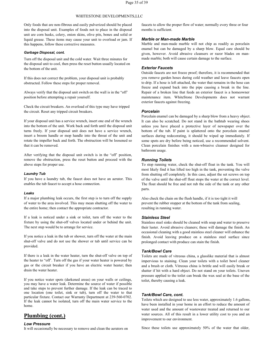Only foods that are non-fibrous and easily pulverized should be placed into the disposal unit. Examples of foods not to place in the disposal unit are corn husks, celery, onion skins, olive pits, bones and solid or liquid grease. These items may cause your unit to overload or jam. If this happens, follow these corrective measures.

#### *Garbage Disposal, cont.*

Turn off the disposal unit and the cold water. Wait three minutes for the disposal unit to cool, then press the reset button usually located on the bottom of the unit.

If this does not correct the problem, your disposal unit is probably obstructed. Follow these steps for proper removal.

Always verify that the disposal unit switch on the wall is in the "off'position before attempting <sup>a</sup> repair yourself.

Check the circuit breakers. An overload of this type may have tripped the circuit. Reset any tripped circuit breakers.

If your disposal unit has a service wrench, insert one end of the wrench into the bottom of the unit. Work back and forth until the disposal unit turns freely. If your disposal unit does not have a service wrench, insert a broom handle or mop handle into the throat of the unit and rotate the impeller back and forth. The obstruction will be loosened so that it can be removed.

After verifying that the disposal unit switch is in the "off' position, remove the obstruction, press the reset button and proceed with the above steps for proper use.

#### *Laundry Tub*

If you have a laundry tub, the faucet does not have an aerator. This enables the tub faucet to accept a hose connection.

#### *Leaks*

If a major plumbing leak occurs, the first step is to turn off the supply of water to the area involved. This may mean shutting off the water to the entire home; then contact the appropriate contractor.

If a leak is noticed under a sink or toilet, turn off the water to the fixture by using the shut-off valves located under or behind the unit. The next step would be to arrange for service.

If you notice a leak in the tub or shower, turn off the water at the main shut-off valve and do not use the shower or tub until service can be provided.

If there is a leak in the water heater, turn the shut-off valve on top of the heater to "off'. Turn off the gas if your water heater is powered by gas or the circuit breaker if you have an electric water heater; then drain the water heater.

If you notice water spots (darkened areas) on your walls or ceilings, you may have a water leak. Determine the source of water if possible and take steps to prevent further damage. If the leak can be traced to one location (one toilet, sink or tub), turn off the water to that particular fixture. Contact our Warranty Department at 239-560-0702. If the leak cannot be isolated, turn off the main water service to the home.

# **Plumbing (cont.)**

#### *Low Pressure*

It will occasionally be necessary to remove and clean the aerators on

faucets to allow the proper flow of water; normally every three or four months is sufficient.

#### *Marble or Man-made Marble*

Marble and man-made marble will not chip as readily as porcelain enamel but can be damaged by a sharp blow. Equal care should be given, however. Avoid abrasive cleansers or razor blades on man made marble; both will cause certain damage to the surface.

#### *Exterior Faucets*

Outside faucets are not freeze proof; therefore, it is recommended that you remove garden hoses during cold weather and leave faucets open to drip. If a hose is left attached, the water that remains in the hose can freeze and expand back into the pipe causing a break in the line. Repair of a broken line that feeds an exterior faucet is a homeowner maintenance item. WhiteStone Developments does not warrant exterior faucets against freezing.

#### *Porcelain*

Porcelain enamel can be damaged by a sharp blow from a heavy object. It can also be scratched. Do not stand in the bathtub wearing shoes unless you have placed a protective layer of newspaper over the bottom of the tub. If paint is splattered onto the porcelain enamel surfaces during redecorating, it should be wiped up immediately. If some spots are dry before being noticed, use a recommended solvent. Clean porcelain finishes with a non-wbrasive cleanser designed for bathroom usage.

#### *Running Toilets*

To stop running water, check the shut-off float in the tank. You will most likely find it has lifted too high in the tank, preventing the valve from shutting off completely. In this case, adjust the set screws on top of the valve until the shut-off float stops the water at the correct level. The float should be free and not rub the side of the tank or any other parts.

Also check the chain on the flush handle, if it is too tight it will prevent the rubber stopper at the bottom of the tank from sealing, resulting in running water.

#### *Stainless Steel*

Stainless steel sinks should be cleaned with soap and water to preserve their luster. Avoid abrasive cleaners; these will damage the finish. An occasional cleaning with a good stainless steel cleaner will enhance the finish. Avoid leaving produce on a stainless steel surface since prolonged contact with produce can stain the finish.

#### *Tank/Bowl Care*

Toilets are made of vitreous china, a glasslike material that is almost impervious to staining. Clean your toilets with a toilet bowl cleaner and a brush or cloth. Vitreous china isbrittle and will easily break or shatter if hit with a hard object. Do not stand on your toilets. Uneven pressure applied to the toilet can break the wax seal at the base of the toilet, thereby causing a leak.

#### *Tank/Bowl Care, cont.*

Toilets which are designed to use less water, approximately 1.6 gallons, have been installed in your home in an effort to reduce the amount of water used and the amount of wastewater treated and returned to our water sources. All of this result in a lower utility cost to you and an improvement to our environment.

Since these toilets use approximately 50% of the water that older,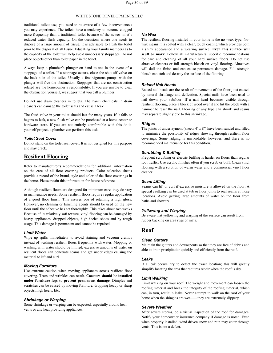traditional toilets use, you need to be aware of a few inconveniences you may experience. The toilets have a tendency to become clogged more frequently than a traditional toilet because of the newer toilet's reduced water flush capacity. On the occasions where one needs to dispose of a large amount of tissue, it is advisable to flush the toilet prior to the disposal of all tissue. Educating your family members as to the capacity of the toilet will help avoid unnecessary stoppages. Do not place objects other than toilet paper in the toilet.

Always keep a plumber's plunger on hand to use in the event of a stoppage of a toilet. If a stoppage occurs, close the shut-off valve on the back side of the toilet. Usually a few vigorous pumps with the plunger will free the obstruction. Stoppages that are not construction related are the homeowner's responsibility. If you are unable to clear the obstruction yourself, we suggest that you call a plumber.

Do not use drain cleaners in toilets. The harsh chemicals in drain cleaners can damage the toilet seals and cause a leak.

The flush valve in your toilet should last for many years. If it fails or begins to leak, a new flush valve can be purchased at a home center or hardware store. If you are not entirely comfortable with this do-it yourself project, a plumber can perform this task.

#### *Toilet Seat Cover*

Do not stand on the toilet seat cover. It is not designed for this purpose and may crack.

# **Resilient Flooring**

Refer to manufacturer's recommendations for additional information on the care of all floor covering products. Color selection sheets provide a record of the brand, style and color of the floor coverings in the home. Please retain this information for future reference.

Although resilient floors are designed for minimum care, they do vary in maintenance needs. Some resilient floors require regular application of a good floor finish. This assures you of retaining a high gloss. However, no cleaning or finishing agents should be used on the new floor until the adhesive has set thoroughly. This takes about two weeks. Because of its relatively soft texture, vinyl flooring can be damaged by heavy appliances, dropped objects, high-heeled shoes and by rough usage. This damage is permanent and cannot be repaired.

#### *Limit Water*

Wipe up spills immediately to avoid staining and vacuum crumbs instead of washing resilient floors frequently with water. Mopping or washing with water should be limited; excessive amounts of water on resilient floors can penetrate seams and get under edges causing the material to lift and curl.

#### *Moving Furniture*

Use extreme caution when moving appliances across resilient floor covering. Tears and wrinkles can result. **Coasters should be installed under furniture legs to prevent permanent damage.** Dimples and scratches can be caused by moving furniture, dropping heavy or sharp objects, high heels. Etc.

#### *Shrinkage or Warping*

Some shrinkage or warping can be expected, especially around heat vents or any heat providing appliances.

#### *No Wax*

The resilient flooring installed in your home is the no -wax type. Nowax means it is coated with a clear, tough coating which provides both a shiny appearance and a wearing surface. **Even this surface will scuff or mark.** Follow all manufacturers' specific recommendations for care and cleaning of all your hard surface floors. Do not use abrasive cleaners or full strength bleach on vinyl flooring. Abrasives will dull the finish and can cause permanent damage. Full strength bleach can etch and destroy the surface of the flooring.

#### *Raised Nail Heads*

Raised nail heads are the result of movements of the floor joist caused by natural shrinkage and deflection. Special nails have been used to nail down your subfloor. If a nail head becomes visible through resilient flooring, place a block of wood over it and hit the block with a hammer to reset the nail. Flooring of any type can shrink and seams may separate slightly due to this shrinkage.

#### *Ridges*

The joints of underlayment (sheets 4' *x* 8') have been sanded and filled to minimize the possibility of ridges showing through resilient floor coverings. Some ridging is unavoidable, however, and there is no recommended maintenance for this condition.

#### *Scrubbing & Buffing*

Frequent scrubbing or electric buffing is harder on floors than regular foot traffic. Use acrylic finishes often if you scrub or buff. Clean vinyl flooring with a solution of warm water and a commercial vinyl floor cleaner.

#### *Seam Lifting*

Seams can lift or curl if excessive moisture is allowed on the floor. A special caulking can be used at tub or floor joints to seal seams at those locations. Avoid getting large amounts of water on the floor from baths and showers.

#### *Yellowing and Warping*

Be aware that yellowing and warping of the surface can result from rubber backing on area rugs or mats.

## **Roof**

#### *Clean Gutters*

Maintain the gutters and downspouts so that they are free of debris and able to drain precipitation quickly and efficiently from the roof.

#### *Leaks*

If a leak occurs, try to detect the exact location; this will greatly simplify locating the area that requires repair when the roof is dry.

#### *Limit Walking*

Limit walking on your roof. The weight and movement can loosen the roofing material and break the integrity of the roofing material, which can, in turn, result in leaks. Never attempt to walk on the roof of your home when the shingles are wet——they are extremely slippery.

#### *Severe Weather*

After severe storms, do a visual inspection of the roof for damages. Notify your homeowner insurance company if damage is noted. Even when properly installed, wind driven snow and rain may enter through vents. This is not a defect.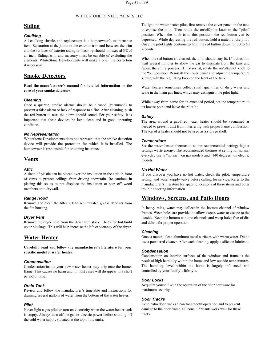## **Siding**

#### *Caulking*

All caulking shrinks and replacement is a homeowner's maintenance item. Separation at the joints in the exterior trim and between the trim and the surfaces of exterior siding or masonry should not exceed 3/8 of an inch. Siding, trim and masonry must be capable of excluding the elements. WhiteStone Developments will make a one time correction if necessary.

# **Smoke Detectors**

**Read the manufacturer's manual for detailed information on the care of your smoke detectors.**

#### *Cleaning*

Once a quarter, smoke alarms should be cleaned (vacuumed) to prevent a false alarm or lack of response to a fire. After cleaning, push the red button to test; the alarm should sound. For your safety, it is important that these devices be kept clean and in good operating condition.

#### *No Representation*

WhiteStone Developments does not represent that the smoke detection device will provide the protection for which it is installed. The homeowner is responsible for obtaining insurance.

#### **Vents**

#### *Attic*

A sheet of plastic can be placed over the insulation in the attic in front of vents to protect ceilings from driving snow/rain. Be cautious in placing this so as to not displace the insulation or step off wood members onto drywall.

#### *Range Hood*

Remove and clean the filter. Clean accumulated grease deposits from the fan housing.

#### *Dryer Vent*

Remove the dryer hose from the dryer vent stack. Check for lint build up or blockage. This will help increase the life expectancy of the dryer.

# **Water Heater**

**Carefully read and follow the manufacturer's literature for your specific model of water heater.**

#### *Condensation*

Condensation inside your new water heater may drip onto the burner flame. This causes no harm and in most cases will disappear in a short period of time.

#### *Drain Tank*

Review and follow the manufacturer's timetable and instructions for draining several gallons of water from the bottom of the water heater.

#### *Pilot*

Never light a gas pilot or turn on electricity when the water heater tank is empty. Always turn off the gas or electric power before shutting off the cold water supply (located at the top of the tank).

To light the water heater pilot, first remove the cover panel on the tank to expose the pilot. Then rotate the on/off/pilot knob to the "pilot" position. When the knob is in this position, the red button can be depressed. While depressing the red button, hold a match at the pilot. Once the pilot lights continue to hold the red button down for 30 to 60 seconds.

When the red button is released, the pilot should stay lit. If it does not, wait several minutes to allow the gas to dissipate from the tank and repeat the entire process.If it stays lit, rotate the on/off/pilot knob to the "on" position. Reinstall the cover panel and adjust the temperature setting with the regulating knob on the front of the tank.

Water heaters sometimes collect small quantities of dirty water and scale in the main gas lines, which may extinguish the pilot light.

While away from home for an extended period, set the temperature to its lowest point and leave the pilot lit.

#### *Safety*

The area around a gas-fired water heater should be vacuumed as needed to prevent dust from interfering with proper flame combustion. The top of a heater should not be used as a storage shelf.

#### *Temperature*

Set the water heater thermostat at the recommended setting; higher settings waste energy. The recommended thermostat setting for normal everyday use is "normal" on gas models and "140 degrees" on electric models.

#### *No Hot Water*

If you discover you have no hot water, check the pilot, temperature setting, and water supply valve before calling for service. Refer to the manufacturer's literature for specific locations of these items and other trouble shooting information.

## **Windows, Screens, and Patio Doors**

In heavy rains, water may collect in the bottom channel of window frames. Weep holes are provided to allow excess water to escape to the outside. Keep the bottom window channels and weep holes free of dirt and debris for proper operation.

#### *Cleaning*

Once a month, clean aluminum metal surfaces with warm water. Do no use a powdered cleaner. After each cleaning, apply a silicone lubricant.

#### *Condensation*

Condensation on interior surfaces of the window and frame is the result of high humidity within the home and low outside temperatures. The humidity level within the home is largely influenced and controlled by your family's lifestyle.

#### *Door Locks*

Acquaint yourself with the operation of the door hardware for maximum security.

#### *Door Tracks*

Keep patio door tracks clean for smooth operation and to prevent damage to the door frame. Silicone lubricants work well for these tracks.